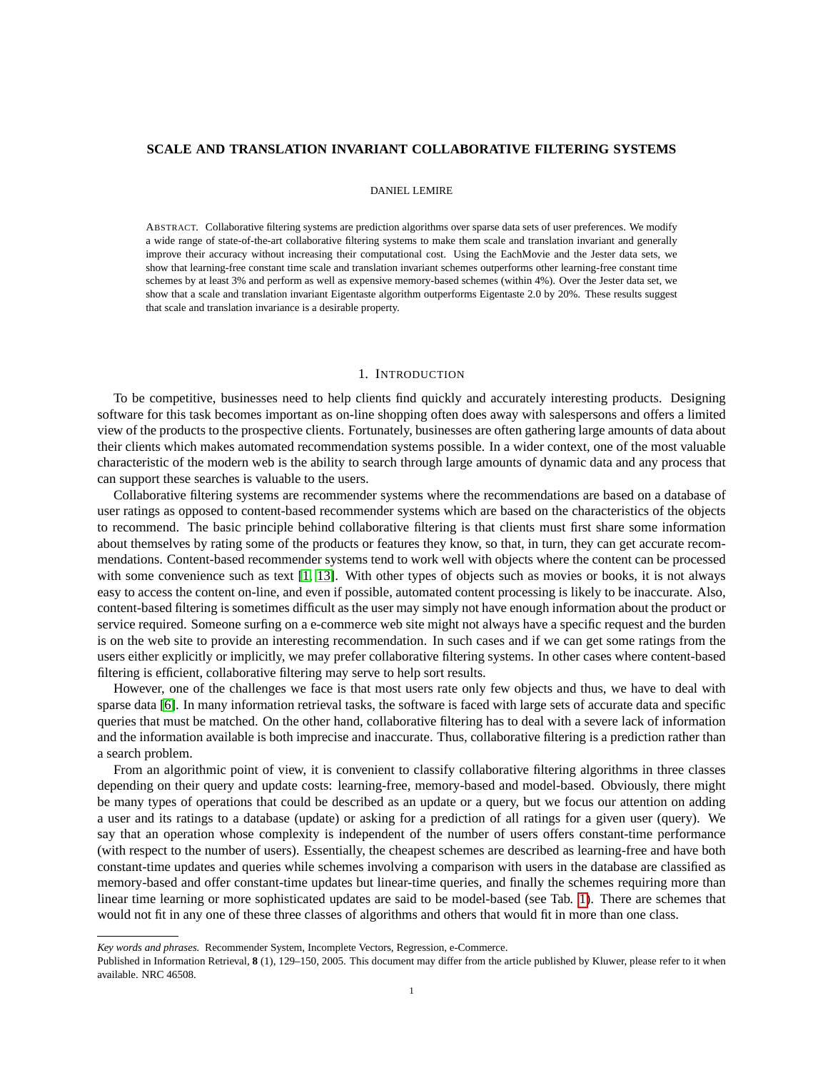# **SCALE AND TRANSLATION INVARIANT COLLABORATIVE FILTERING SYSTEMS**

#### DANIEL LEMIRE

ABSTRACT. Collaborative filtering systems are prediction algorithms over sparse data sets of user preferences. We modify a wide range of state-of-the-art collaborative filtering systems to make them scale and translation invariant and generally improve their accuracy without increasing their computational cost. Using the EachMovie and the Jester data sets, we show that learning-free constant time scale and translation invariant schemes outperforms other learning-free constant time schemes by at least 3% and perform as well as expensive memory-based schemes (within 4%). Over the Jester data set, we show that a scale and translation invariant Eigentaste algorithm outperforms Eigentaste 2.0 by 20%. These results suggest that scale and translation invariance is a desirable property.

#### 1. INTRODUCTION

To be competitive, businesses need to help clients find quickly and accurately interesting products. Designing software for this task becomes important as on-line shopping often does away with salespersons and offers a limited view of the products to the prospective clients. Fortunately, businesses are often gathering large amounts of data about their clients which makes automated recommendation systems possible. In a wider context, one of the most valuable characteristic of the modern web is the ability to search through large amounts of dynamic data and any process that can support these searches is valuable to the users.

Collaborative filtering systems are recommender systems where the recommendations are based on a database of user ratings as opposed to content-based recommender systems which are based on the characteristics of the objects to recommend. The basic principle behind collaborative filtering is that clients must first share some information about themselves by rating some of the products or features they know, so that, in turn, they can get accurate recommendations. Content-based recommender systems tend to work well with objects where the content can be processed with some convenience such as text [\[1,](#page-13-0) [13\]](#page-13-1). With other types of objects such as movies or books, it is not always easy to access the content on-line, and even if possible, automated content processing is likely to be inaccurate. Also, content-based filtering is sometimes difficult as the user may simply not have enough information about the product or service required. Someone surfing on a e-commerce web site might not always have a specific request and the burden is on the web site to provide an interesting recommendation. In such cases and if we can get some ratings from the users either explicitly or implicitly, we may prefer collaborative filtering systems. In other cases where content-based filtering is efficient, collaborative filtering may serve to help sort results.

However, one of the challenges we face is that most users rate only few objects and thus, we have to deal with sparse data [\[6\]](#page-13-2). In many information retrieval tasks, the software is faced with large sets of accurate data and specific queries that must be matched. On the other hand, collaborative filtering has to deal with a severe lack of information and the information available is both imprecise and inaccurate. Thus, collaborative filtering is a prediction rather than a search problem.

From an algorithmic point of view, it is convenient to classify collaborative filtering algorithms in three classes depending on their query and update costs: learning-free, memory-based and model-based. Obviously, there might be many types of operations that could be described as an update or a query, but we focus our attention on adding a user and its ratings to a database (update) or asking for a prediction of all ratings for a given user (query). We say that an operation whose complexity is independent of the number of users offers constant-time performance (with respect to the number of users). Essentially, the cheapest schemes are described as learning-free and have both constant-time updates and queries while schemes involving a comparison with users in the database are classified as memory-based and offer constant-time updates but linear-time queries, and finally the schemes requiring more than linear time learning or more sophisticated updates are said to be model-based (see Tab. [1\)](#page-1-0). There are schemes that would not fit in any one of these three classes of algorithms and others that would fit in more than one class.

*Key words and phrases.* Recommender System, Incomplete Vectors, Regression, e-Commerce.

Published in Information Retrieval, **8** (1), 129–150, 2005. This document may differ from the article published by Kluwer, please refer to it when available. NRC 46508.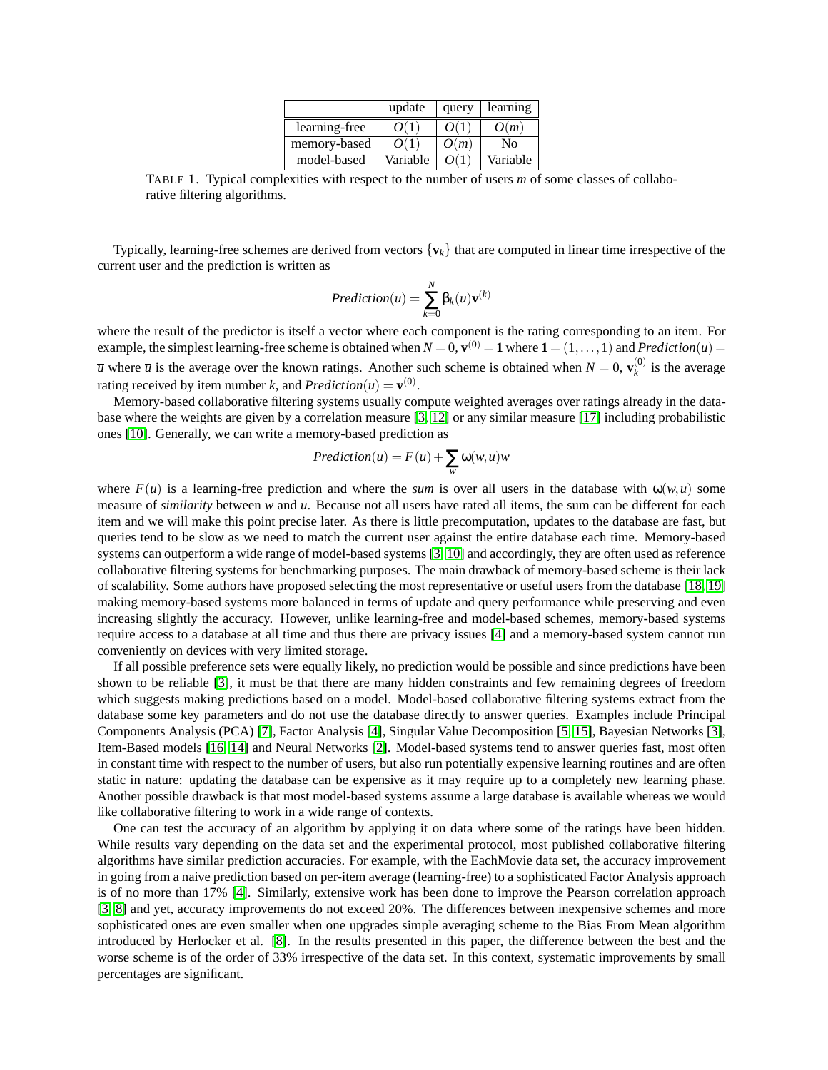|               | update   | query | learning |
|---------------|----------|-------|----------|
| learning-free | O(1)     | O(1)  | O(m)     |
| memory-based  | O(1)     | O(m)  | Nο       |
| model-based   | Variable |       | Variable |

<span id="page-1-0"></span>TABLE 1. Typical complexities with respect to the number of users *m* of some classes of collaborative filtering algorithms.

Typically, learning-free schemes are derived from vectors  $\{v_k\}$  that are computed in linear time irrespective of the current user and the prediction is written as

$$
Prediction(u) = \sum_{k=0}^{N} \beta_k(u) \mathbf{v}^{(k)}
$$

where the result of the predictor is itself a vector where each component is the rating corresponding to an item. For example, the simplest learning-free scheme is obtained when  $N = 0$ ,  $\mathbf{v}^{(0)} = \mathbf{1}$  where  $\mathbf{1} = (1, \ldots, 1)$  and *Prediction*(*u*) =  $\overline{u}$  where  $\overline{u}$  is the average over the known ratings. Another such scheme is obtained when  $N = 0$ ,  $\mathbf{v}_k^{(0)}$  $\binom{0}{k}$  is the average rating received by item number *k*, and *Prediction*(*u*) =  $\mathbf{v}^{(0)}$ .

Memory-based collaborative filtering systems usually compute weighted averages over ratings already in the database where the weights are given by a correlation measure [\[3,](#page-13-3) [12\]](#page-13-4) or any similar measure [\[17\]](#page-14-0) including probabilistic ones [\[10\]](#page-13-5). Generally, we can write a memory-based prediction as

$$
Prediction(u) = F(u) + \sum_{w} \omega(w, u)w
$$

where  $F(u)$  is a learning-free prediction and where the *sum* is over all users in the database with  $\omega(w, u)$  some measure of *similarity* between *w* and *u*. Because not all users have rated all items, the sum can be different for each item and we will make this point precise later. As there is little precomputation, updates to the database are fast, but queries tend to be slow as we need to match the current user against the entire database each time. Memory-based systems can outperform a wide range of model-based systems [\[3,](#page-13-3) [10\]](#page-13-5) and accordingly, they are often used as reference collaborative filtering systems for benchmarking purposes. The main drawback of memory-based scheme is their lack of scalability. Some authors have proposed selecting the most representative or useful users from the database [\[18,](#page-14-1) [19\]](#page-14-2) making memory-based systems more balanced in terms of update and query performance while preserving and even increasing slightly the accuracy. However, unlike learning-free and model-based schemes, memory-based systems require access to a database at all time and thus there are privacy issues [\[4\]](#page-13-6) and a memory-based system cannot run conveniently on devices with very limited storage.

If all possible preference sets were equally likely, no prediction would be possible and since predictions have been shown to be reliable [\[3\]](#page-13-3), it must be that there are many hidden constraints and few remaining degrees of freedom which suggests making predictions based on a model. Model-based collaborative filtering systems extract from the database some key parameters and do not use the database directly to answer queries. Examples include Principal Components Analysis (PCA) [\[7\]](#page-13-7), Factor Analysis [\[4\]](#page-13-6), Singular Value Decomposition [\[5,](#page-13-8) [15\]](#page-14-3), Bayesian Networks [\[3\]](#page-13-3), Item-Based models [\[16,](#page-14-4) [14\]](#page-13-9) and Neural Networks [\[2\]](#page-13-10). Model-based systems tend to answer queries fast, most often in constant time with respect to the number of users, but also run potentially expensive learning routines and are often static in nature: updating the database can be expensive as it may require up to a completely new learning phase. Another possible drawback is that most model-based systems assume a large database is available whereas we would like collaborative filtering to work in a wide range of contexts.

One can test the accuracy of an algorithm by applying it on data where some of the ratings have been hidden. While results vary depending on the data set and the experimental protocol, most published collaborative filtering algorithms have similar prediction accuracies. For example, with the EachMovie data set, the accuracy improvement in going from a naive prediction based on per-item average (learning-free) to a sophisticated Factor Analysis approach is of no more than 17% [\[4\]](#page-13-6). Similarly, extensive work has been done to improve the Pearson correlation approach [\[3,](#page-13-3) [8\]](#page-13-11) and yet, accuracy improvements do not exceed 20%. The differences between inexpensive schemes and more sophisticated ones are even smaller when one upgrades simple averaging scheme to the Bias From Mean algorithm introduced by Herlocker et al. [\[8\]](#page-13-11). In the results presented in this paper, the difference between the best and the worse scheme is of the order of 33% irrespective of the data set. In this context, systematic improvements by small percentages are significant.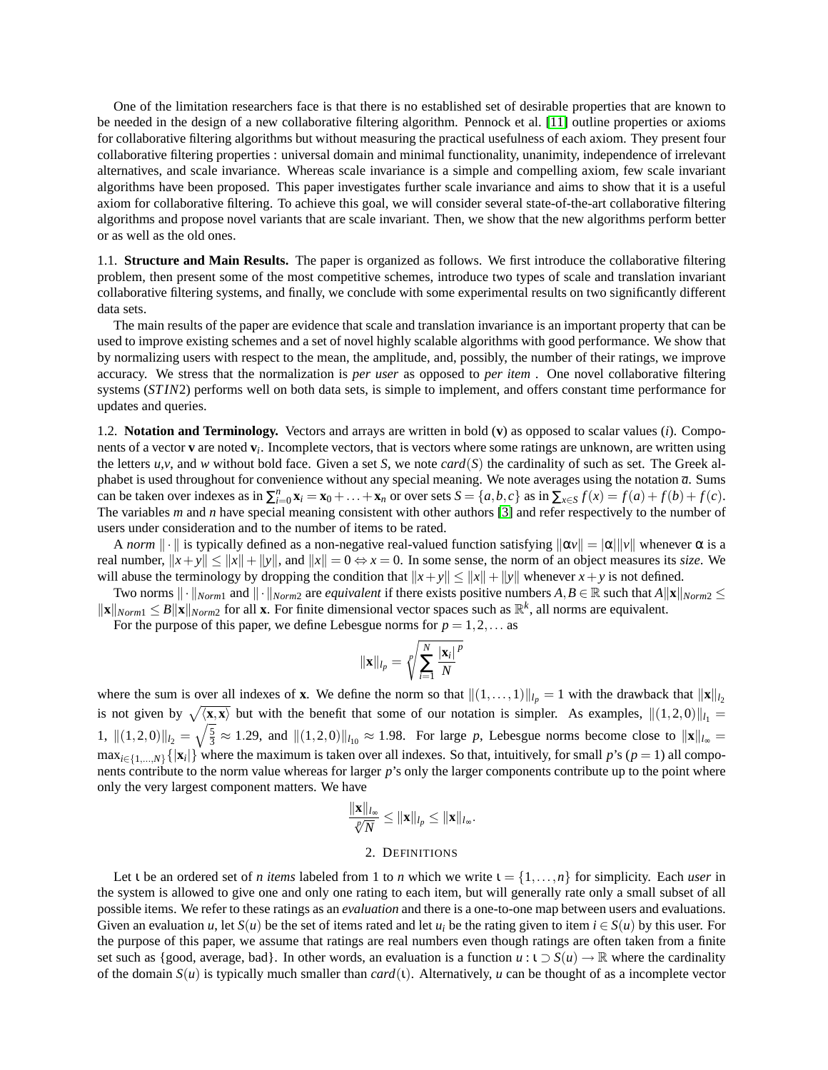One of the limitation researchers face is that there is no established set of desirable properties that are known to be needed in the design of a new collaborative filtering algorithm. Pennock et al. [\[11\]](#page-13-12) outline properties or axioms for collaborative filtering algorithms but without measuring the practical usefulness of each axiom. They present four collaborative filtering properties : universal domain and minimal functionality, unanimity, independence of irrelevant alternatives, and scale invariance. Whereas scale invariance is a simple and compelling axiom, few scale invariant algorithms have been proposed. This paper investigates further scale invariance and aims to show that it is a useful axiom for collaborative filtering. To achieve this goal, we will consider several state-of-the-art collaborative filtering algorithms and propose novel variants that are scale invariant. Then, we show that the new algorithms perform better or as well as the old ones.

1.1. **Structure and Main Results.** The paper is organized as follows. We first introduce the collaborative filtering problem, then present some of the most competitive schemes, introduce two types of scale and translation invariant collaborative filtering systems, and finally, we conclude with some experimental results on two significantly different data sets.

The main results of the paper are evidence that scale and translation invariance is an important property that can be used to improve existing schemes and a set of novel highly scalable algorithms with good performance. We show that by normalizing users with respect to the mean, the amplitude, and, possibly, the number of their ratings, we improve accuracy. We stress that the normalization is *per user* as opposed to *per item* . One novel collaborative filtering systems (*ST IN*2) performs well on both data sets, is simple to implement, and offers constant time performance for updates and queries.

1.2. **Notation and Terminology.** Vectors and arrays are written in bold (**v**) as opposed to scalar values (*i*). Components of a vector **v** are noted **v***<sup>i</sup>* . Incomplete vectors, that is vectors where some ratings are unknown, are written using the letters  $u, v$ , and w without bold face. Given a set *S*, we note *card*(*S*) the cardinality of such as set. The Greek alphabet is used throughout for convenience without any special meaning. We note averages using the notation *a*. Sums can be taken over indexes as in  $\sum_{i=0}^{n} \mathbf{x}_i = \mathbf{x}_0 + \ldots + \mathbf{x}_n$  or over sets  $S = \{a, b, c\}$  as in  $\sum_{x \in S} f(x) = f(a) + f(b) + f(c)$ . The variables *m* and *n* have special meaning consistent with other authors [\[3\]](#page-13-3) and refer respectively to the number of users under consideration and to the number of items to be rated.

A *norm*  $\|\cdot\|$  is typically defined as a non-negative real-valued function satisfying  $\|\alpha v\| = |\alpha| \|v\|$  whenever  $\alpha$  is a real number,  $||x+y|| \le ||x|| + ||y||$ , and  $||x|| = 0 \Leftrightarrow x = 0$ . In some sense, the norm of an object measures its *size*. We will abuse the terminology by dropping the condition that  $||x+y|| \le ||x|| + ||y||$  whenever  $x + y$  is not defined.

Two norms  $\|\cdot\|_{Norm1}$  and  $\|\cdot\|_{Norm2}$  are *equivalent* if there exists positive numbers  $A, B \in \mathbb{R}$  such that  $A\|\mathbf{x}\|_{Norm2} \leq$  $\|\mathbf{x}\|_{Norm1} \leq B \|\mathbf{x}\|_{Norm2}$  for all **x**. For finite dimensional vector spaces such as  $\mathbb{R}^k$ , all norms are equivalent.

For the purpose of this paper, we define Lebesgue norms for  $p = 1, 2, \ldots$  as

$$
\|\mathbf{x}\|_{l_p} = \sqrt[p]{\sum_{i=1}^N \frac{|\mathbf{x}_i|^p}{N}}
$$

where the sum is over all indexes of **x**. We define the norm so that  $||(1,\ldots,1)||_{l_p} = 1$  with the drawback that  $||\mathbf{x}||_{l_2}$ is not given by  $\sqrt{\langle \mathbf{x}, \mathbf{x} \rangle}$  but with the benefit that some of our notation is simpler. As examples,  $\|(1,2,0)\|_{l_1} =$ 1,  $||(1,2,0)||_{l_2} = \sqrt{\frac{5}{3}} \approx 1.29$ , and  $||(1,2,0)||_{l_{10}} \approx 1.98$ . For large p, Lebesgue norms become close to  $||\mathbf{x}||_{l_{\infty}} =$  $\max_{i \in \{1,...,N\}}\{|x_i|\}$  where the maximum is taken over all indexes. So that, intuitively, for small *p*'s (*p* = 1) all components contribute to the norm value whereas for larger *p*'s only the larger components contribute up to the point where only the very largest component matters. We have

$$
\frac{\|\mathbf{x}\|_{l_{\infty}}}{\sqrt[p]{N}} \leq \|\mathbf{x}\|_{l_p} \leq \|\mathbf{x}\|_{l_{\infty}}.
$$

# 2. DEFINITIONS

Let *i* be an ordered set of *n* items labeled from 1 to *n* which we write  $i = \{1, \ldots, n\}$  for simplicity. Each *user* in the system is allowed to give one and only one rating to each item, but will generally rate only a small subset of all possible items. We refer to these ratings as an *evaluation* and there is a one-to-one map between users and evaluations. Given an evaluation *u*, let  $S(u)$  be the set of items rated and let  $u_i$  be the rating given to item  $i \in S(u)$  by this user. For the purpose of this paper, we assume that ratings are real numbers even though ratings are often taken from a finite set such as {good, average, bad}. In other words, an evaluation is a function  $u : \iota \supset S(u) \to \mathbb{R}$  where the cardinality of the domain  $S(u)$  is typically much smaller than *card*(t). Alternatively, *u* can be thought of as a incomplete vector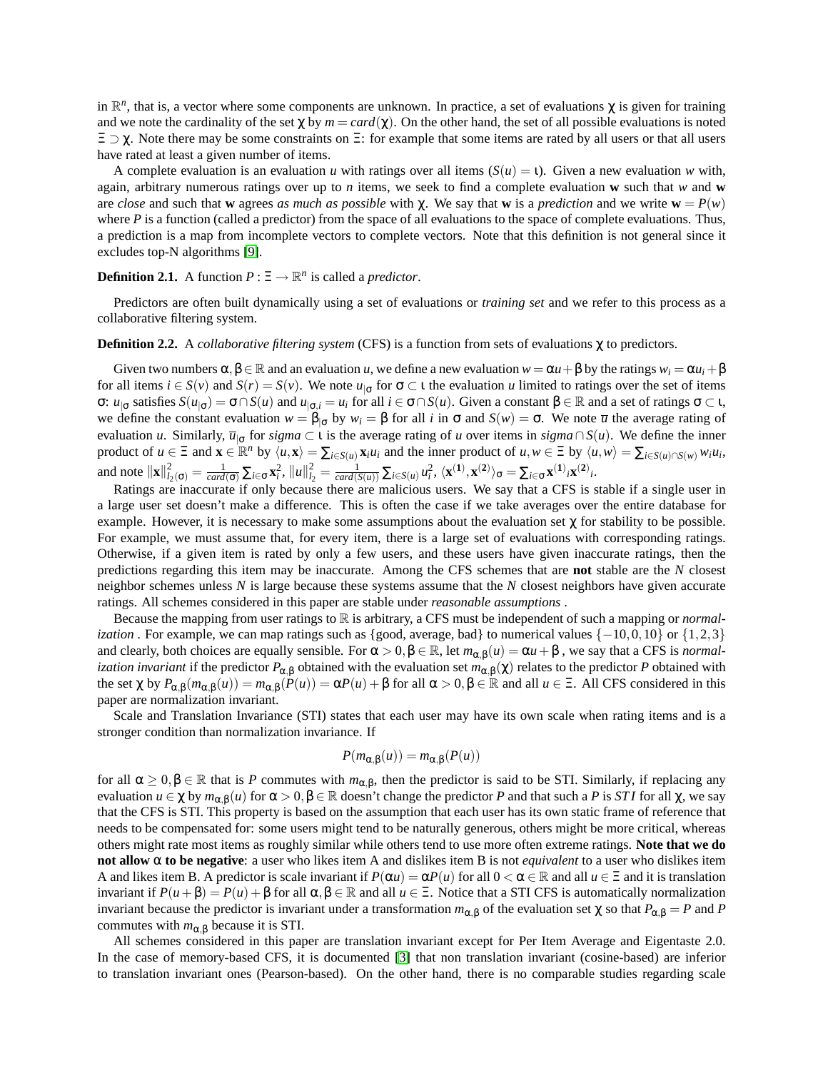in  $\mathbb{R}^n$ , that is, a vector where some components are unknown. In practice, a set of evaluations  $\chi$  is given for training and we note the cardinality of the set  $\chi$  by  $m = \text{card}(\chi)$ . On the other hand, the set of all possible evaluations is noted Ξ ⊃ χ. Note there may be some constraints on Ξ: for example that some items are rated by all users or that all users have rated at least a given number of items.

A complete evaluation is an evaluation *u* with ratings over all items  $(S(u) = 1)$ . Given a new evaluation *w* with, again, arbitrary numerous ratings over up to *n* items, we seek to find a complete evaluation **w** such that *w* and **w** are *close* and such that **w** agrees *as much as possible* with  $\gamma$ . We say that **w** is a *prediction* and we write  $\mathbf{w} = P(w)$ where *P* is a function (called a predictor) from the space of all evaluations to the space of complete evaluations. Thus, a prediction is a map from incomplete vectors to complete vectors. Note that this definition is not general since it excludes top-N algorithms [\[9\]](#page-13-13).

# **Definition 2.1.** A function  $P : \Xi \to \mathbb{R}^n$  is called a *predictor*.

Predictors are often built dynamically using a set of evaluations or *training set* and we refer to this process as a collaborative filtering system.

### **Definition 2.2.** A *collaborative filtering system* (CFS) is a function from sets of evaluations χ to predictors.

Given two numbers  $\alpha, \beta \in \mathbb{R}$  and an evaluation *u*, we define a new evaluation  $w = \alpha u + \beta$  by the ratings  $w_i = \alpha u_i + \beta$ for all items  $i \in S(v)$  and  $S(r) = S(v)$ . We note  $u_{\sigma}$  for  $\sigma \subset \tau$  the evaluation *u* limited to ratings over the set of items σ: *u*|<sup>σ</sup> satisfies *S*(*u*|σ) = σ∩*S*(*u*) and *u*|σ,*<sup>i</sup>* = *u<sup>i</sup>* for all *i* ∈ σ∩*S*(*u*). Given a constant β ∈ R and a set of ratings σ ⊂ ι, we define the constant evaluation  $w = \beta_{\sigma}$  by  $w_i = \beta$  for all *i* in  $\sigma$  and  $S(w) = \sigma$ . We note  $\overline{u}$  the average rating of evaluation *u*. Similarly,  $\overline{u}_{\vert \sigma}$  for *sigma*  $\subset$  i is the average rating of *u* over items in *sigma*  $\cap$  *S*(*u*). We define the inner product of  $u \in \Xi$  and  $\mathbf{x} \in \mathbb{R}^n$  by  $\langle u, \mathbf{x} \rangle = \sum_{i \in S(u)} \mathbf{x}_i u_i$  and the inner product of  $u, w \in \Xi$  by  $\langle u, w \rangle = \sum_{i \in S(u) \cap S(w)} w_i u_i$ , and note  $||\mathbf{x}||_{l_2(\sigma)}^2 = \frac{1}{card(\sigma)} \sum_{i \in \sigma} \mathbf{x}_i^2$ ,  $||u||_{l_2}^2 = \frac{1}{card(S(u))} \sum_{i \in S(u)} u_i^2$ ,  $\langle \mathbf{x}^{(1)}, \mathbf{x}^{(2)} \rangle_{\sigma} = \sum_{i \in \sigma} \mathbf{x}^{(1)} \cdot \mathbf{x}^{(2)}$ .

Ratings are inaccurate if only because there are malicious users. We say that a CFS is stable if a single user in a large user set doesn't make a difference. This is often the case if we take averages over the entire database for example. However, it is necessary to make some assumptions about the evaluation set  $\chi$  for stability to be possible. For example, we must assume that, for every item, there is a large set of evaluations with corresponding ratings. Otherwise, if a given item is rated by only a few users, and these users have given inaccurate ratings, then the predictions regarding this item may be inaccurate. Among the CFS schemes that are **not** stable are the *N* closest neighbor schemes unless *N* is large because these systems assume that the *N* closest neighbors have given accurate ratings. All schemes considered in this paper are stable under *reasonable assumptions* .

Because the mapping from user ratings to R is arbitrary, a CFS must be independent of such a mapping or *normalization* . For example, we can map ratings such as {good, average, bad} to numerical values {−10,0,10} or {1,2,3} and clearly, both choices are equally sensible. For  $\alpha > 0, \beta \in \mathbb{R}$ , let  $m_{\alpha,\beta}(u) = \alpha u + \beta$ , we say that a CFS is *normalization invariant* if the predictor  $P_{\alpha,\beta}$  obtained with the evaluation set  $m_{\alpha,\beta}(\chi)$  relates to the predictor *P* obtained with the set  $\chi$  by  $P_{\alpha,\beta}(m_{\alpha,\beta}(u)) = m_{\alpha,\beta}(P(u)) = \alpha P(u) + \beta$  for all  $\alpha > 0, \beta \in \mathbb{R}$  and all  $u \in \Xi$ . All CFS considered in this paper are normalization invariant.

Scale and Translation Invariance (STI) states that each user may have its own scale when rating items and is a stronger condition than normalization invariance. If

$$
P(m_{\alpha,\beta}(u)) = m_{\alpha,\beta}(P(u))
$$

for all  $\alpha \ge 0, \beta \in \mathbb{R}$  that is *P* commutes with  $m_{\alpha,\beta}$ , then the predictor is said to be STI. Similarly, if replacing any evaluation  $u \in \chi$  by  $m_{\alpha,\beta}(u)$  for  $\alpha > 0$ ,  $\beta \in \mathbb{R}$  doesn't change the predictor *P* and that such a *P* is *ST1* for all  $\chi$ , we say that the CFS is STI. This property is based on the assumption that each user has its own static frame of reference that needs to be compensated for: some users might tend to be naturally generous, others might be more critical, whereas others might rate most items as roughly similar while others tend to use more often extreme ratings. **Note that we do not allow** α **to be negative**: a user who likes item A and dislikes item B is not *equivalent* to a user who dislikes item A and likes item B. A predictor is scale invariant if  $P(\alpha u) = \alpha P(u)$  for all  $0 < \alpha \in \mathbb{R}$  and all  $u \in \Xi$  and it is translation invariant if  $P(u + \beta) = P(u) + \beta$  for all  $\alpha, \beta \in \mathbb{R}$  and all  $u \in \Xi$ . Notice that a STI CFS is automatically normalization invariant because the predictor is invariant under a transformation  $m_{\alpha,\beta}$  of the evaluation set  $\chi$  so that  $P_{\alpha,\beta} = P$  and *P* commutes with  $m_{\alpha, \beta}$  because it is STI.

All schemes considered in this paper are translation invariant except for Per Item Average and Eigentaste 2.0. In the case of memory-based CFS, it is documented [\[3\]](#page-13-3) that non translation invariant (cosine-based) are inferior to translation invariant ones (Pearson-based). On the other hand, there is no comparable studies regarding scale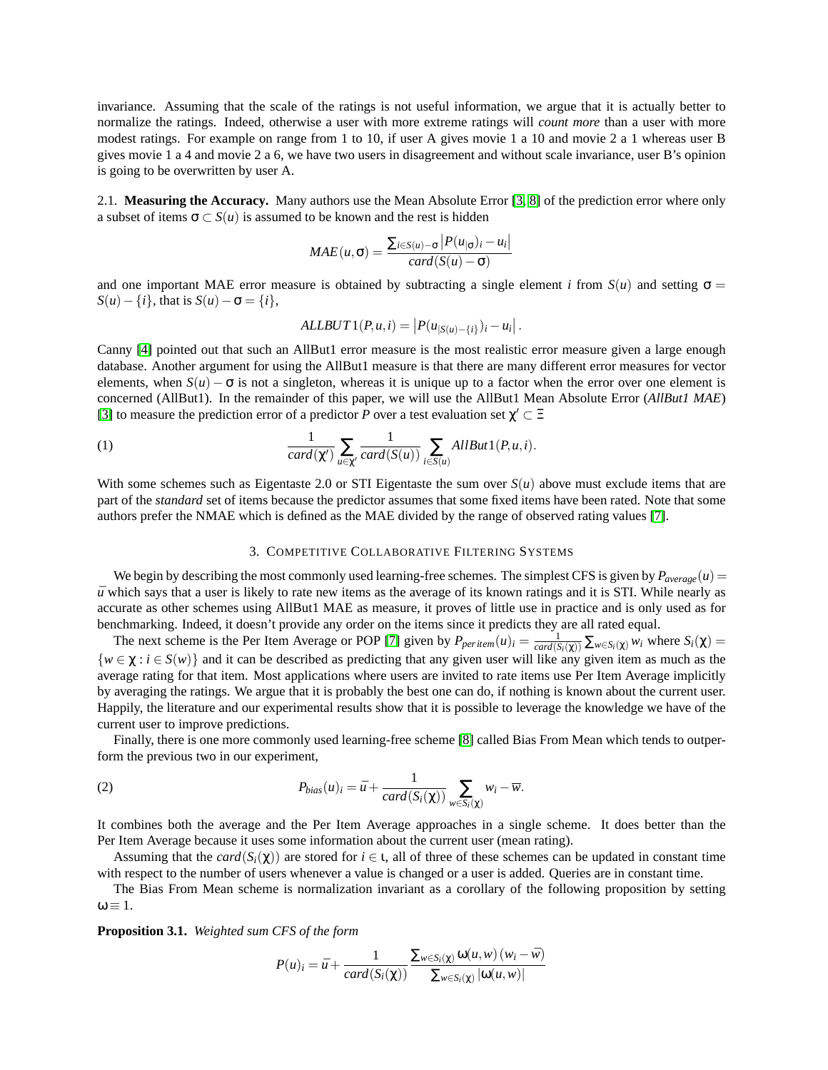invariance. Assuming that the scale of the ratings is not useful information, we argue that it is actually better to normalize the ratings. Indeed, otherwise a user with more extreme ratings will *count more* than a user with more modest ratings. For example on range from 1 to 10, if user A gives movie 1 a 10 and movie 2 a 1 whereas user B gives movie 1 a 4 and movie 2 a 6, we have two users in disagreement and without scale invariance, user B's opinion is going to be overwritten by user A.

2.1. **Measuring the Accuracy.** Many authors use the Mean Absolute Error [\[3,](#page-13-3) [8\]](#page-13-11) of the prediction error where only a subset of items  $\sigma \subset S(u)$  is assumed to be known and the rest is hidden

$$
MAE(u, \sigma) = \frac{\sum_{i \in S(u) - \sigma} |P(u_{|\sigma})_i - u_i|}{card(S(u) - \sigma)}
$$

and one important MAE error measure is obtained by subtracting a single element *i* from  $S(u)$  and setting  $\sigma =$ *S*(*u*)−{*i*}, that is *S*(*u*)−σ = {*i*},

<span id="page-4-0"></span>
$$
ALLBUT1(P, u, i) = |P(u_{|S(u)-\{i\}})_{i} - u_{i}|.
$$

Canny [\[4\]](#page-13-6) pointed out that such an AllBut1 error measure is the most realistic error measure given a large enough database. Another argument for using the AllBut1 measure is that there are many different error measures for vector elements, when  $S(u) - \sigma$  is not a singleton, whereas it is unique up to a factor when the error over one element is concerned (AllBut1). In the remainder of this paper, we will use the AllBut1 Mean Absolute Error (*AllBut1 MAE*) [\[3\]](#page-13-3) to measure the prediction error of a predictor *P* over a test evaluation set  $\chi' \subset \Xi$ 

(1) 
$$
\frac{1}{card(\chi')}\sum_{u\in\chi'}\frac{1}{card(S(u))}\sum_{i\in S(u)}AllBut1(P,u,i).
$$

With some schemes such as Eigentaste 2.0 or STI Eigentaste the sum over  $S(u)$  above must exclude items that are part of the *standard* set of items because the predictor assumes that some fixed items have been rated. Note that some authors prefer the NMAE which is defined as the MAE divided by the range of observed rating values [\[7\]](#page-13-7).

### 3. COMPETITIVE COLLABORATIVE FILTERING SYSTEMS

We begin by describing the most commonly used learning-free schemes. The simplest CFS is given by  $P_{average}(u)$  =  $\bar{u}$  which says that a user is likely to rate new items as the average of its known ratings and it is STI. While nearly as accurate as other schemes using AllBut1 MAE as measure, it proves of little use in practice and is only used as for benchmarking. Indeed, it doesn't provide any order on the items since it predicts they are all rated equal.

The next scheme is the Per Item Average or POP [\[7\]](#page-13-7) given by  $P_{\text{per item}}(u)_i = \frac{1}{\text{card}(S_i(\chi))} \sum_{w \in S_i(\chi)} w_i$  where  $S_i(\chi) =$  $\{w \in \chi : i \in S(w)\}\$  and it can be described as predicting that any given user will like any given item as much as the average rating for that item. Most applications where users are invited to rate items use Per Item Average implicitly by averaging the ratings. We argue that it is probably the best one can do, if nothing is known about the current user. Happily, the literature and our experimental results show that it is possible to leverage the knowledge we have of the current user to improve predictions.

Finally, there is one more commonly used learning-free scheme [\[8\]](#page-13-11) called Bias From Mean which tends to outperform the previous two in our experiment,

(2) 
$$
P_{bias}(u)_i = \bar{u} + \frac{1}{card(S_i(\chi))} \sum_{w \in S_i(\chi)} w_i - \overline{w}.
$$

It combines both the average and the Per Item Average approaches in a single scheme. It does better than the Per Item Average because it uses some information about the current user (mean rating).

Assuming that the *card*( $S_i(\chi)$ ) are stored for  $i \in I$ , all of three of these schemes can be updated in constant time with respect to the number of users whenever a value is changed or a user is added. Queries are in constant time.

The Bias From Mean scheme is normalization invariant as a corollary of the following proposition by setting  $\omega \equiv 1$ .

**Proposition 3.1.** *Weighted sum CFS of the form*

$$
P(u)_i = \bar{u} + \frac{1}{card(S_i(\chi))} \frac{\sum_{w \in S_i(\chi)} \omega(u, w) (w_i - \bar{w})}{\sum_{w \in S_i(\chi)} |\omega(u, w)|}
$$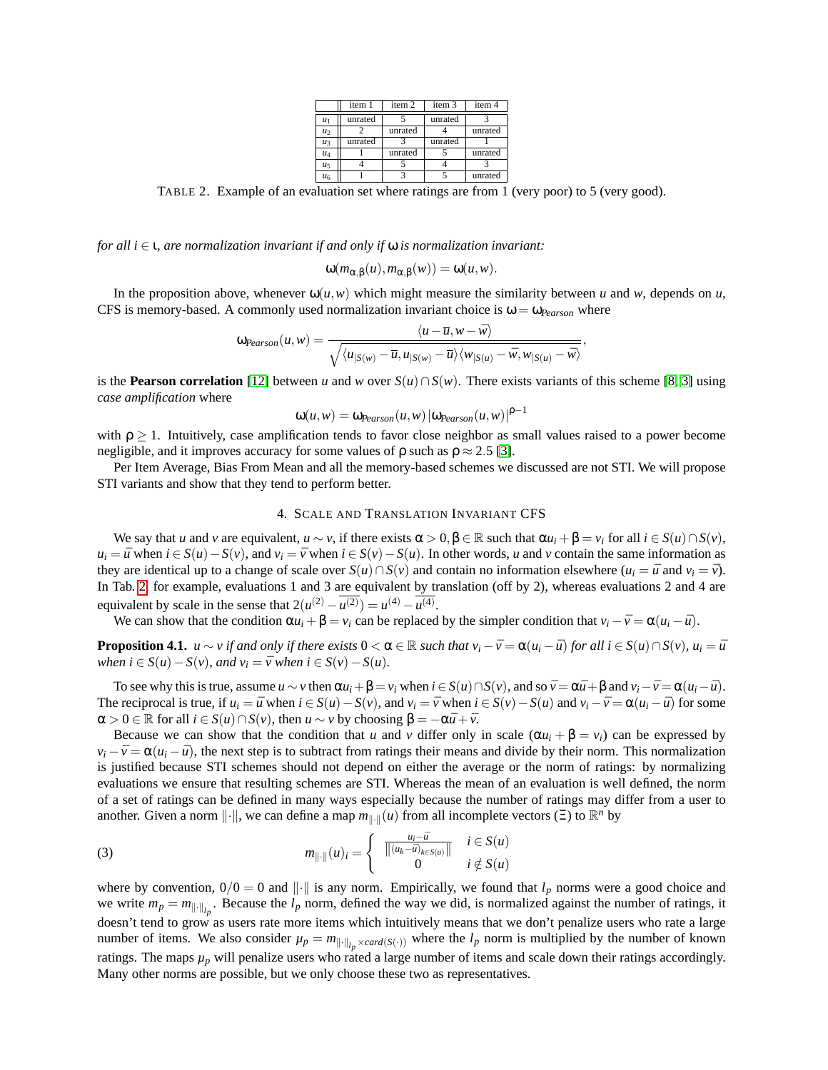|                | item 1  | item 2  | item 3  | item 4  |
|----------------|---------|---------|---------|---------|
| $u_1$          | unrated |         | unrated |         |
| $u_2$          |         | unrated |         | unrated |
| $u_3$          | unrated |         | unrated |         |
| $u_4$          |         | unrated |         | unrated |
| u <sub>5</sub> |         |         |         |         |
| u <sub>6</sub> |         |         |         | unrated |

<span id="page-5-0"></span>TABLE 2. Example of an evaluation set where ratings are from 1 (very poor) to 5 (very good).

*for all i* ∈ ι*, are normalization invariant if and only if* ω *is normalization invariant:*

$$
\omega(m_{\alpha,\beta}(u),m_{\alpha,\beta}(w))=\omega(u,w).
$$

In the proposition above, whenever  $\omega(u, w)$  which might measure the similarity between *u* and *w*, depends on *u*, CFS is memory-based. A commonly used normalization invariant choice is  $\omega = \omega_{Pearson}$  where

$$
\omega_{Pearson}(u,w) = \frac{\langle u - \overline{u}, w - \overline{w} \rangle}{\sqrt{\langle u_{|S(w)} - \overline{u}, u_{|S(w)} - \overline{u} \rangle \langle w_{|S(u)} - \overline{w}, w_{|S(u)} - \overline{w} \rangle}},
$$

is the **Pearson correlation** [\[12\]](#page-13-4) between *u* and *w* over  $S(u) \cap S(w)$ . There exists variants of this scheme [\[8,](#page-13-11) [3\]](#page-13-3) using *case amplification* where

$$
\omega(u,w) = \omega_{Pearson}(u,w) |\omega_{Pearson}(u,w)|^{\rho-1}
$$

with  $\rho > 1$ . Intuitively, case amplification tends to favor close neighbor as small values raised to a power become negligible, and it improves accuracy for some values of  $\rho$  such as  $\rho \approx 2.5$  [\[3\]](#page-13-3).

Per Item Average, Bias From Mean and all the memory-based schemes we discussed are not STI. We will propose STI variants and show that they tend to perform better.

# 4. SCALE AND TRANSLATION INVARIANT CFS

We say that *u* and *v* are equivalent,  $u \sim v$ , if there exists  $\alpha > 0, \beta \in \mathbb{R}$  such that  $\alpha u_i + \beta = v_i$  for all  $i \in S(u) \cap S(v)$ ,  $u_i = \overline{u}$  when  $i \in S(u) - S(v)$ , and  $v_i = \overline{v}$  when  $i \in S(v) - S(u)$ . In other words, u and v contain the same information as they are identical up to a change of scale over  $S(u) \cap S(v)$  and contain no information elsewhere  $(u_i = \bar{u}$  and  $v_i = \bar{v}$ ). In Tab. [2,](#page-5-0) for example, evaluations 1 and 3 are equivalent by translation (off by 2), whereas evaluations 2 and 4 are equivalent by scale in the sense that  $2(u^{(2)} - u^{(2)}) = u^{(4)} - u^{(4)}$ .

We can show that the condition  $\alpha u_i + \beta = v_i$  can be replaced by the simpler condition that  $v_i - \bar{v} = \alpha (u_i - \bar{u})$ .

**Proposition 4.1.**  $u \sim v$  if and only if there exists  $0 < \alpha \in \mathbb{R}$  such that  $v_i - \overline{v} = \alpha(u_i - \overline{u})$  for all  $i \in S(u) \cap S(v)$ ,  $u_i = \overline{u}$ *when*  $i \in S(u) - S(v)$ *, and*  $v_i = \overline{v}$  *when*  $i \in S(v) - S(u)$ *.* 

To see why this is true, assume  $u \sim v$  then  $\alpha u_i + \beta = v_i$  when  $i \in S(u) \cap S(v)$ , and so  $\bar{v} = \alpha \bar{u} + \beta$  and  $v_i - \bar{v} = \alpha (u_i - \bar{u})$ . The reciprocal is true, if  $u_i = \bar{u}$  when  $i \in S(u) - S(v)$ , and  $v_i = \bar{v}$  when  $i \in S(v) - S(u)$  and  $v_i - \bar{v} = \alpha(u_i - \bar{u})$  for some  $\alpha > 0 \in \mathbb{R}$  for all  $i \in S(u) \cap S(v)$ , then  $u \sim v$  by choosing  $\beta = -\alpha \bar{u} + \bar{v}$ .

Because we can show that the condition that *u* and *v* differ only in scale  $(\alpha u_i + \beta = v_i)$  can be expressed by  $v_i - \bar{v} = \alpha(u_i - \bar{u})$ , the next step is to subtract from ratings their means and divide by their norm. This normalization is justified because STI schemes should not depend on either the average or the norm of ratings: by normalizing evaluations we ensure that resulting schemes are STI. Whereas the mean of an evaluation is well defined, the norm of a set of ratings can be defined in many ways especially because the number of ratings may differ from a user to another. Given a norm  $\|\cdot\|$ , we can define a map  $m_{\|\cdot\|}(u)$  from all incomplete vectors (Ξ) to  $\mathbb{R}^n$  by

(3) 
$$
m_{\|\cdot\|}(u)_i = \begin{cases} \frac{u_i - \bar{u}}{\|(u_k - \bar{u})_{k \in S(u)}\|} & i \in S(u) \\ 0 & i \notin S(u) \end{cases}
$$

where by convention,  $0/0 = 0$  and  $\|\cdot\|$  is any norm. Empirically, we found that  $l_p$  norms were a good choice and we write  $m_p = m_{\|\cdot\|_{l_p}}$ . Because the  $l_p$  norm, defined the way we did, is normalized against the number of ratings, it doesn't tend to grow as users rate more items which intuitively means that we don't penalize users who rate a large number of items. We also consider  $\mu_p = m_{\|\cdot\|_{l_p} \times card(S(\cdot))}$  where the  $l_p$  norm is multiplied by the number of known ratings. The maps  $\mu_p$  will penalize users who rated a large number of items and scale down their ratings accordingly. Many other norms are possible, but we only choose these two as representatives.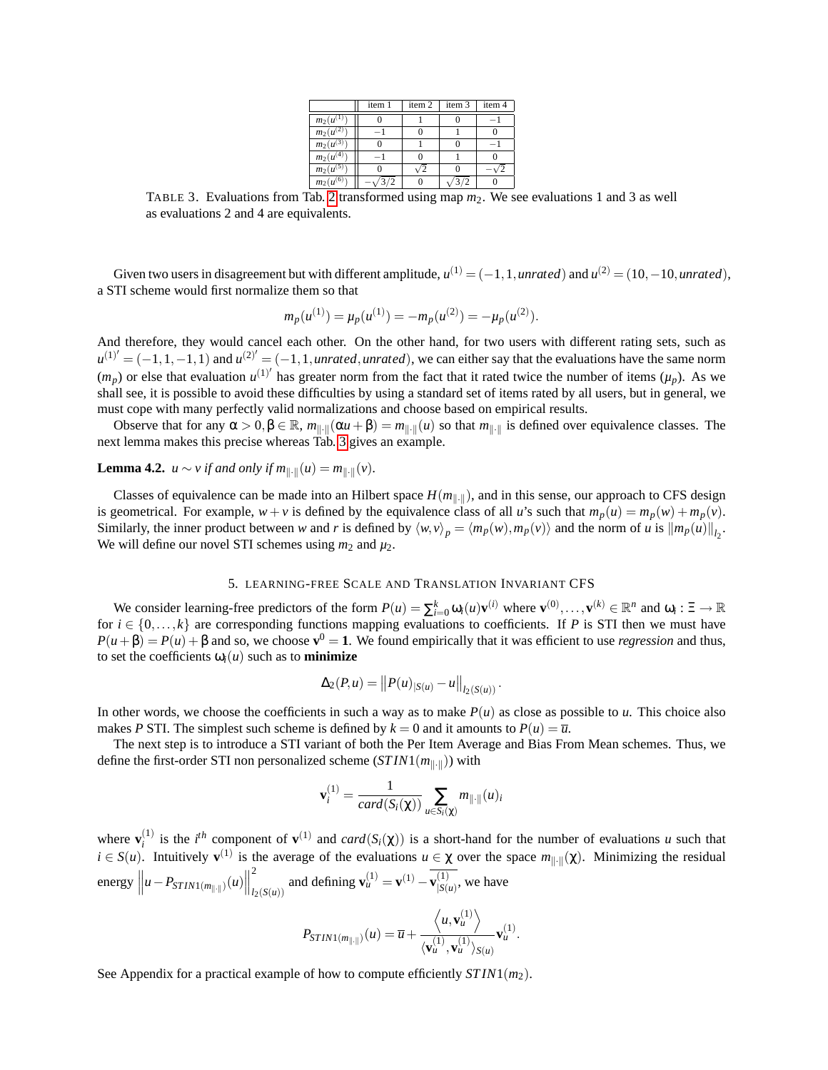|                | item 1 | item 2 | item 3 | item 4 |
|----------------|--------|--------|--------|--------|
| $m_2(u^{(1)})$ |        |        |        |        |
| $m_2(u^{(2)}$  |        |        |        |        |
| $m_2(u^{(3)})$ |        |        |        |        |
| $m_2(u^{(4)})$ |        |        |        |        |
| $m_2(u^{(5)}$  |        |        |        |        |
| $m_2(u^{(6)}$  |        |        |        |        |

<span id="page-6-0"></span>TABLE 3. Evaluations from Tab. [2](#page-5-0) transformed using map *m*2. We see evaluations 1 and 3 as well as evaluations 2 and 4 are equivalents.

Given two users in disagreement but with different amplitude,  $u^{(1)} = (-1, 1, unrated)$  and  $u^{(2)} = (10, -10, unrated)$ , a STI scheme would first normalize them so that

$$
m_p(u^{(1)}) = \mu_p(u^{(1)}) = -m_p(u^{(2)}) = -\mu_p(u^{(2)}).
$$

And therefore, they would cancel each other. On the other hand, for two users with different rating sets, such as  $u^{(1)} = (-1, 1, -1, 1)$  and  $u^{(2)} = (-1, 1, unrated, unrated)$ , we can either say that the evaluations have the same norm  $(m_p)$  or else that evaluation  $u^{(1)'}$  has greater norm from the fact that it rated twice the number of items  $(\mu_p)$ . As we shall see, it is possible to avoid these difficulties by using a standard set of items rated by all users, but in general, we must cope with many perfectly valid normalizations and choose based on empirical results.

Observe that for any  $\alpha > 0, \beta \in \mathbb{R}$ ,  $m_{\|\cdot\|}(\alpha u + \beta) = m_{\|\cdot\|}(u)$  so that  $m_{\|\cdot\|}$  is defined over equivalence classes. The next lemma makes this precise whereas Tab. [3](#page-6-0) gives an example.

# **Lemma 4.2.** *u* ∼ *v if and only if*  $m_{\|\cdot\|}(u) = m_{\|\cdot\|}(v)$ *.*

Classes of equivalence can be made into an Hilbert space  $H(m_{\|\cdot\|})$ , and in this sense, our approach to CFS design is geometrical. For example,  $w + v$  is defined by the equivalence class of all *u*'s such that  $m_p(u) = m_p(w) + m_p(v)$ . Similarly, the inner product between w and r is defined by  $\langle w, v \rangle_p = \langle m_p(w), m_p(v) \rangle$  and the norm of u is  $\|m_p(u)\|_{l_2}$ . We will define our novel STI schemes using  $m_2$  and  $\mu_2$ .

# 5. LEARNING-FREE SCALE AND TRANSLATION INVARIANT CFS

We consider learning-free predictors of the form  $P(u) = \sum_{i=0}^{k} \omega_i(u) \mathbf{v}^{(i)}$  where  $\mathbf{v}^{(0)}, \dots, \mathbf{v}^{(k)} \in \mathbb{R}^n$  and  $\omega_i : \Xi \to \mathbb{R}$ for  $i \in \{0, \ldots, k\}$  are corresponding functions mapping evaluations to coefficients. If *P* is STI then we must have  $P(u+\beta) = P(u) + \beta$  and so, we choose  $\mathbf{v}^0 = \mathbf{1}$ . We found empirically that it was efficient to use *regression* and thus, to set the coefficients  $\omega_i(u)$  such as to **minimize** 

$$
\Delta_2(P, u) = ||P(u)|_{S(u)} - u||_{l_2(S(u))}.
$$

In other words, we choose the coefficients in such a way as to make  $P(u)$  as close as possible to *u*. This choice also makes *P* STI. The simplest such scheme is defined by  $k = 0$  and it amounts to  $P(u) = \overline{u}$ .

The next step is to introduce a STI variant of both the Per Item Average and Bias From Mean schemes. Thus, we define the first-order STI non personalized scheme (*STIN*1( $m_{\|\cdot\|}$ )) with

$$
\mathbf{v}_i^{(1)} = \frac{1}{card(S_i(\chi))} \sum_{u \in S_i(\chi)} m_{\|\cdot\|}(u)_i
$$

where  $\mathbf{v}_i^{(1)}$  $i^{(1)}$  is the *i*<sup>th</sup> component of  $\mathbf{v}^{(1)}$  and *card*( $S_i(\chi)$ ) is a short-hand for the number of evaluations *u* such that  $i \in S(u)$ . Intuitively  $\mathbf{v}^{(1)}$  is the average of the evaluations  $u \in \chi$  over the space  $m_{\|\cdot\|}(\chi)$ . Minimizing the residual energy  $\left\| u - P_{STIN1(m_{\|\cdot\|})}(u) \right\|$ 2  $\mathbf{v}_{\mu}^{(1)} = \mathbf{v}^{(1)} - \mathbf{v}_{|S(i)}^{(1)}$  $\binom{1}{|S(u)}$ , we have

$$
P_{STIN1(m_{\|\cdot\|})}(u) = \overline{u} + \frac{\langle u, \mathbf{v}_u^{(1)} \rangle}{\langle \mathbf{v}_u^{(1)}, \mathbf{v}_u^{(1)} \rangle_{S(u)}} \mathbf{v}_u^{(1)}.
$$

See Appendix for a practical example of how to compute efficiently *ST IN*1(*m*2).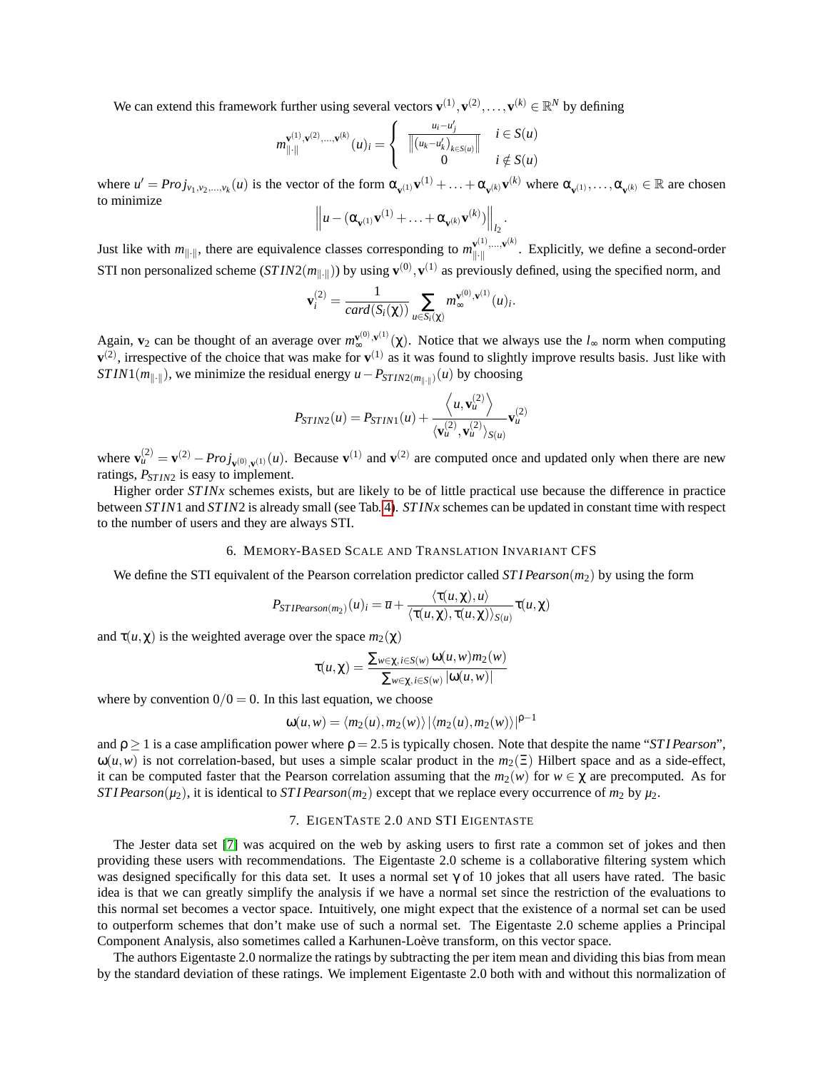We can extend this framework further using several vectors  $\mathbf{v}^{(1)}, \mathbf{v}^{(2)}, \dots, \mathbf{v}^{(k)} \in \mathbb{R}^N$  by defining

$$
m_{\|\cdot\|}^{\mathbf{v}^{(1)},\mathbf{v}^{(2)},\dots,\mathbf{v}^{(k)}}(u)_i = \begin{cases} \begin{array}{c} u_i - u'_j \\ \hline \|(u_k - u'_k)_{k \in S(u)} \| \\ 0 \end{array} & i \in S(u) \\ i \notin S(u) \end{cases}
$$

where  $u' = Proj_{v_1, v_2, ..., v_k}(u)$  is the vector of the form  $\alpha_{\mathbf{v}^{(1)}} \mathbf{v}^{(1)} + ... + \alpha_{\mathbf{v}^{(k)}} \mathbf{v}^{(k)}$  where  $\alpha_{\mathbf{v}^{(1)}}, ..., \alpha_{\mathbf{v}^{(k)}} \in \mathbb{R}$  are chosen to minimize

$$
\left\|u-(\alpha_{\mathbf{v}^{(1)}}\mathbf{v}^{(1)}+\ldots+\alpha_{\mathbf{v}^{(k)}}\mathbf{v}^{(k)})\right\|_{l_2}.
$$

Just like with  $m_{\| \cdot \|}$ , there are equivalence classes corresponding to  $m_{\| \cdot \|}^{(\mathbf{v}^{(1)}, ..., \mathbf{v}^{(k)})}$  $\begin{bmatrix} W^{(1)}, \dots, W^{(n)} \end{bmatrix}$ . Explicitly, we define a second-order STI non personalized scheme  $(STIN2(m_{\|\cdot\|}))$  by using  $\mathbf{v}^{(0)}, \mathbf{v}^{(1)}$  as previously defined, using the specified norm, and

$$
\mathbf{v}_{i}^{(2)} = \frac{1}{card(S_{i}(\chi))} \sum_{u \in S_{i}(\chi)} m_{\infty}^{\mathbf{v}^{(0)},\mathbf{v}^{(1)}}(u)_{i}.
$$

Again,  $\mathbf{v}_2$  can be thought of an average over  $m_\infty^{\mathbf{v}^{(0)},\mathbf{v}^{(1)}}(\chi)$ . Notice that we always use the  $l_\infty$  norm when computing  $\mathbf{v}^{(2)}$ , irrespective of the choice that was make for  $\mathbf{v}^{(1)}$  as it was found to slightly improve results basis. Just like with  $STIN1(m_{\|\cdot\|})$ , we minimize the residual energy *u*−*P*<sub>*STIN2*( $m_{\|\cdot\|}$ )</sub>(*u*) by choosing

$$
P_{STIN2}(u) = P_{STIN1}(u) + \frac{\left\langle u, \mathbf{v}_u^{(2)} \right\rangle}{\left\langle \mathbf{v}_u^{(2)}, \mathbf{v}_u^{(2)} \right\rangle_{S(u)}} \mathbf{v}_u^{(2)}
$$

where  $\mathbf{v}_u^{(2)} = \mathbf{v}^{(2)} - Proj_{\mathbf{v}^{(0)}, \mathbf{v}^{(1)}}(u)$ . Because  $\mathbf{v}^{(1)}$  and  $\mathbf{v}^{(2)}$  are computed once and updated only when there are new ratings,  $P_{STIN2}$  is easy to implement.

Higher order *ST INx* schemes exists, but are likely to be of little practical use because the difference in practice between *ST IN*1 and *ST IN*2 is already small (see Tab. [4\)](#page-11-0). *ST INx* schemes can be updated in constant time with respect to the number of users and they are always STI.

## 6. MEMORY-BASED SCALE AND TRANSLATION INVARIANT CFS

We define the STI equivalent of the Pearson correlation predictor called *STI Pearson*(*m*<sub>2</sub>) by using the form

$$
P_{STIPearson(m_2)}(u)_i = \overline{u} + \frac{\langle \tau(u,\chi), u \rangle}{\langle \tau(u,\chi), \tau(u,\chi) \rangle_{S(u)}} \tau(u,\chi)
$$

and  $\tau(u, \chi)$  is the weighted average over the space  $m_2(\chi)$ 

$$
\tau(u,\chi)=\frac{\sum_{w\in\chi,\,i\in S(w)}\omega(u,w)m_2(w)}{\sum_{w\in\chi,\,i\in S(w)}|\omega(u,w)|}
$$

where by convention  $0/0 = 0$ . In this last equation, we choose

$$
\omega(u,w) = \langle m_2(u), m_2(w) \rangle |\langle m_2(u), m_2(w) \rangle|^{p-1}
$$

and  $\rho > 1$  is a case amplification power where  $\rho = 2.5$  is typically chosen. Note that despite the name "*ST I Pearson*",  $ω(u, w)$  is not correlation-based, but uses a simple scalar product in the  $m_2(Σ)$  Hilbert space and as a side-effect, it can be computed faster that the Pearson correlation assuming that the  $m_2(w)$  for  $w \in \chi$  are precomputed. As for *STI Pearson*( $\mu$ <sub>2</sub>), it is identical to *STI Pearson*( $m$ <sub>2</sub>) except that we replace every occurrence of  $m$ <sub>2</sub> by  $\mu$ <sub>2</sub>.

## 7. EIGENTASTE 2.0 AND STI EIGENTASTE

The Jester data set [\[7\]](#page-13-7) was acquired on the web by asking users to first rate a common set of jokes and then providing these users with recommendations. The Eigentaste 2.0 scheme is a collaborative filtering system which was designed specifically for this data set. It uses a normal set  $\gamma$  of 10 jokes that all users have rated. The basic idea is that we can greatly simplify the analysis if we have a normal set since the restriction of the evaluations to this normal set becomes a vector space. Intuitively, one might expect that the existence of a normal set can be used to outperform schemes that don't make use of such a normal set. The Eigentaste 2.0 scheme applies a Principal Component Analysis, also sometimes called a Karhunen-Loève transform, on this vector space.

The authors Eigentaste 2.0 normalize the ratings by subtracting the per item mean and dividing this bias from mean by the standard deviation of these ratings. We implement Eigentaste 2.0 both with and without this normalization of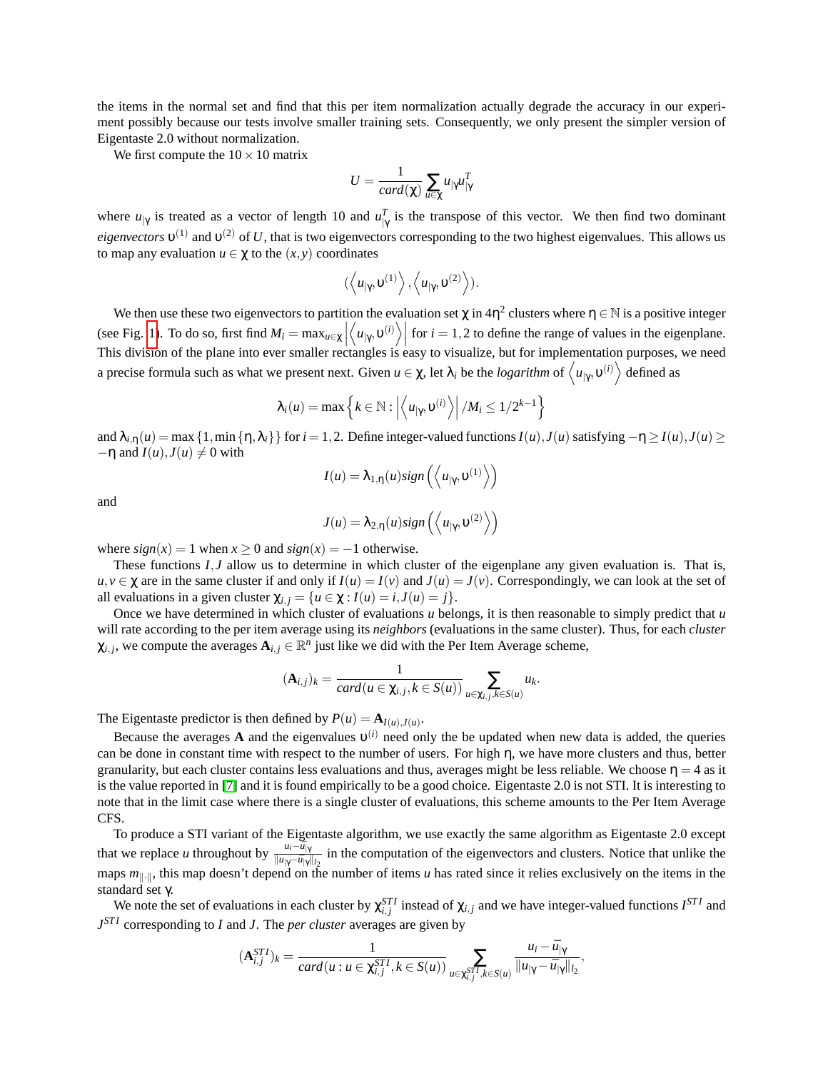the items in the normal set and find that this per item normalization actually degrade the accuracy in our experiment possibly because our tests involve smaller training sets. Consequently, we only present the simpler version of Eigentaste 2.0 without normalization.

We first compute the  $10 \times 10$  matrix

$$
U = \frac{1}{card(\chi)} \sum_{u \in \chi} u_{|\gamma} u_{|\gamma}^T
$$

where  $u_{\gamma}$  is treated as a vector of length 10 and  $u_{\gamma}^T$  is the transpose of this vector. We then find two dominant *eigenvectors*  $v^{(1)}$  and  $v^{(2)}$  of *U*, that is two eigenvectors corresponding to the two highest eigenvalues. This allows us to map any evaluation  $u \in \chi$  to the  $(x, y)$  coordinates

$$
(\langle u_{|\gamma}, \mathbf{v}^{(1)} \rangle, \langle u_{|\gamma}, \mathbf{v}^{(2)} \rangle).
$$

We then use these two eigenvectors to partition the evaluation set  $\chi$  in 4 $\eta^2$  clusters where  $\eta \in \mathbb{N}$  is a positive integer (see Fig. [1\)](#page-9-0). To do so, first find  $M_i = \max_{u \in \chi}$  $\langle u_{\vert \gamma}, v^{(i)} \rangle$  for  $i = 1, 2$  to define the range of values in the eigenplane. This division of the plane into ever smaller rectangles is easy to visualize, but for implementation purposes, we need a precise formula such as what we present next. Given  $u \in \chi$ , let  $\lambda_i$  be the *logarithm* of  $\langle u_{|\gamma}, v^{(i)} \rangle$  defined as

$$
\lambda_i(u) = \max \left\{ k \in \mathbb{N} : \left| \left\langle u_{|\gamma}, v^{(i)} \right\rangle \right| / M_i \leq 1/2^{k-1} \right\}
$$

and  $\lambda_{i,\eta}(u) = \max\{1,\min\{\eta,\lambda_i\}\}\$  for  $i = 1,2$ . Define integer-valued functions  $I(u)$ ,  $J(u)$  satisfying  $-\eta \geq I(u)$ ,  $J(u) \geq$  $-\eta$  and  $I(u)$ ,  $J(u) \neq 0$  with

$$
I(u) = \lambda_{1,\eta}(u) sign\left(\left\langle u_{|\gamma}, \mathbf{v}^{(1)} \right\rangle\right)
$$

and

$$
J(u) = \lambda_{2,\eta}(u) sign\left(\left\langle u_{|\gamma}, v^{(2)} \right\rangle\right)
$$

where  $sign(x) = 1$  when  $x > 0$  and  $sign(x) = -1$  otherwise.

These functions *I*,*J* allow us to determine in which cluster of the eigenplane any given evaluation is. That is,  $u, v \in \chi$  are in the same cluster if and only if  $I(u) = I(v)$  and  $J(u) = J(v)$ . Correspondingly, we can look at the set of all evaluations in a given cluster  $\chi_{i,j} = \{u \in \chi : I(u) = i, J(u) = j\}.$ 

Once we have determined in which cluster of evaluations *u* belongs, it is then reasonable to simply predict that *u* will rate according to the per item average using its *neighbors* (evaluations in the same cluster). Thus, for each *cluster*  $\chi_{i,j}$ , we compute the averages  $A_{i,j} \in \mathbb{R}^n$  just like we did with the Per Item Average scheme,

$$
(\mathbf{A}_{i,j})_k = \frac{1}{card(u \in \chi_{i,j}, k \in S(u))} \sum_{u \in \chi_{i,j}, k \in S(u)} u_k.
$$

The Eigentaste predictor is then defined by  $P(u) = A_{I(u),J(u)}$ .

Because the averages A and the eigenvalues  $v^{(i)}$  need only the be updated when new data is added, the queries can be done in constant time with respect to the number of users. For high η, we have more clusters and thus, better granularity, but each cluster contains less evaluations and thus, averages might be less reliable. We choose  $\eta = 4$  as it is the value reported in [\[7\]](#page-13-7) and it is found empirically to be a good choice. Eigentaste 2.0 is not STI. It is interesting to note that in the limit case where there is a single cluster of evaluations, this scheme amounts to the Per Item Average CFS.

To produce a STI variant of the Eigentaste algorithm, we use exactly the same algorithm as Eigentaste 2.0 except that we replace *u* throughout by  $\frac{u_i - \bar{u}_{|\gamma|}}{||u_{|\gamma} - \bar{u}_{|\gamma||_{2}}}\$  in the computation of the eigenvectors and clusters. Notice that unlike the maps  $m_{\|\cdot\|}$ , this map doesn't depend on the number of items *u* has rated since it relies exclusively on the items in the standard set γ.

We note the set of evaluations in each cluster by  $\chi_{i,j}^{STI}$  instead of  $\chi_{i,j}$  and we have integer-valued functions  $I^{STI}$  and *J*<sup>STI</sup> corresponding to *I* and *J*. The *per cluster* averages are given by

$$
(\mathbf{A}_{i,j}^{STI})_k = \frac{1}{card(u: u \in \chi_{i,j}^{STI}, k \in S(u))} \sum_{u \in \chi_{i,j}^{STI}, k \in S(u)} \frac{u_i - \bar{u}_{|\gamma|}}{||u_{|\gamma} - \bar{u}_{|\gamma}||_2},
$$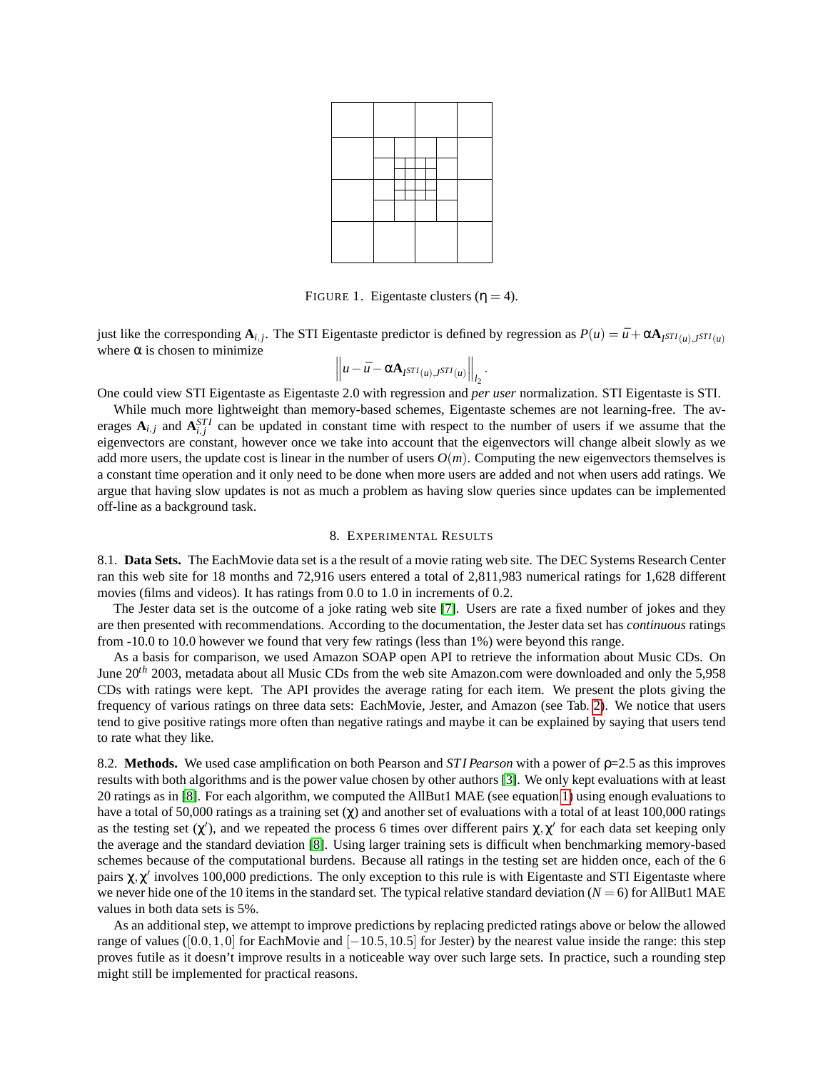

<span id="page-9-0"></span>FIGURE 1. Eigentaste clusters  $(\eta = 4)$ .

just like the corresponding  $A_{i,j}$ . The STI Eigentaste predictor is defined by regression as  $P(u) = \bar{u} + \alpha A_f s_{TI(u),J^{STI}(u)}$ where  $\alpha$  is chosen to minimize

$$
\left\|u-\bar{u}-\alpha \mathbf{A}_I s T I_{(u),J} s T I_{(u)}\right\|_{l_2}.
$$

One could view STI Eigentaste as Eigentaste 2.0 with regression and *per user* normalization. STI Eigentaste is STI.

While much more lightweight than memory-based schemes, Eigentaste schemes are not learning-free. The averages  $A_{i,j}$  and  $A_{i,j}^{STI}$  can be updated in constant time with respect to the number of users if we assume that the eigenvectors are constant, however once we take into account that the eigenvectors will change albeit slowly as we add more users, the update cost is linear in the number of users  $O(m)$ . Computing the new eigenvectors themselves is a constant time operation and it only need to be done when more users are added and not when users add ratings. We argue that having slow updates is not as much a problem as having slow queries since updates can be implemented off-line as a background task.

## 8. EXPERIMENTAL RESULTS

8.1. **Data Sets.** The EachMovie data set is a the result of a movie rating web site. The DEC Systems Research Center ran this web site for 18 months and 72,916 users entered a total of 2,811,983 numerical ratings for 1,628 different movies (films and videos). It has ratings from 0.0 to 1.0 in increments of 0.2.

The Jester data set is the outcome of a joke rating web site [\[7\]](#page-13-7). Users are rate a fixed number of jokes and they are then presented with recommendations. According to the documentation, the Jester data set has *continuous* ratings from -10.0 to 10.0 however we found that very few ratings (less than 1%) were beyond this range.

As a basis for comparison, we used Amazon SOAP open API to retrieve the information about Music CDs. On June 20*th* 2003, metadata about all Music CDs from the web site Amazon.com were downloaded and only the 5,958 CDs with ratings were kept. The API provides the average rating for each item. We present the plots giving the frequency of various ratings on three data sets: EachMovie, Jester, and Amazon (see Tab. [2\)](#page-10-0). We notice that users tend to give positive ratings more often than negative ratings and maybe it can be explained by saying that users tend to rate what they like.

8.2. **Methods.** We used case amplification on both Pearson and *ST I Pearson* with a power of ρ=2.5 as this improves results with both algorithms and is the power value chosen by other authors [\[3\]](#page-13-3). We only kept evaluations with at least 20 ratings as in [\[8\]](#page-13-11). For each algorithm, we computed the AllBut1 MAE (see equation [1\)](#page-4-0) using enough evaluations to have a total of 50,000 ratings as a training set  $(\chi)$  and another set of evaluations with a total of at least 100,000 ratings as the testing set  $(\chi')$ , and we repeated the process 6 times over different pairs  $\chi, \chi'$  for each data set keeping only the average and the standard deviation [\[8\]](#page-13-11). Using larger training sets is difficult when benchmarking memory-based schemes because of the computational burdens. Because all ratings in the testing set are hidden once, each of the 6 pairs  $\chi$ ,  $\chi'$  involves 100,000 predictions. The only exception to this rule is with Eigentaste and STI Eigentaste where we never hide one of the 10 items in the standard set. The typical relative standard deviation  $(N = 6)$  for AllBut1 MAE values in both data sets is 5%.

As an additional step, we attempt to improve predictions by replacing predicted ratings above or below the allowed range of values  $([0.0,1,0]$  for EachMovie and  $[-10.5,10.5]$  for Jester) by the nearest value inside the range: this step proves futile as it doesn't improve results in a noticeable way over such large sets. In practice, such a rounding step might still be implemented for practical reasons.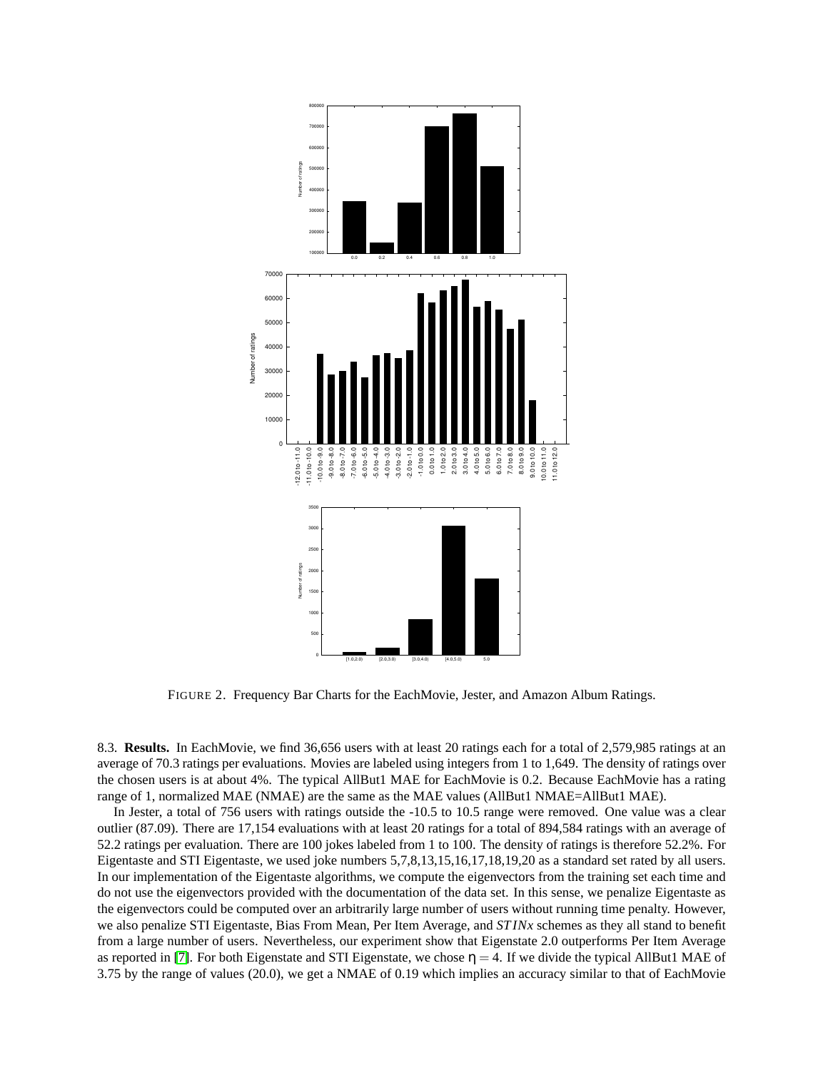

<span id="page-10-0"></span>FIGURE 2. Frequency Bar Charts for the EachMovie, Jester, and Amazon Album Ratings.

8.3. **Results.** In EachMovie, we find 36,656 users with at least 20 ratings each for a total of 2,579,985 ratings at an average of 70.3 ratings per evaluations. Movies are labeled using integers from 1 to 1,649. The density of ratings over the chosen users is at about 4%. The typical AllBut1 MAE for EachMovie is 0.2. Because EachMovie has a rating range of 1, normalized MAE (NMAE) are the same as the MAE values (AllBut1 NMAE=AllBut1 MAE).

In Jester, a total of 756 users with ratings outside the -10.5 to 10.5 range were removed. One value was a clear outlier (87.09). There are 17,154 evaluations with at least 20 ratings for a total of 894,584 ratings with an average of 52.2 ratings per evaluation. There are 100 jokes labeled from 1 to 100. The density of ratings is therefore 52.2%. For Eigentaste and STI Eigentaste, we used joke numbers 5,7,8,13,15,16,17,18,19,20 as a standard set rated by all users. In our implementation of the Eigentaste algorithms, we compute the eigenvectors from the training set each time and do not use the eigenvectors provided with the documentation of the data set. In this sense, we penalize Eigentaste as the eigenvectors could be computed over an arbitrarily large number of users without running time penalty. However, we also penalize STI Eigentaste, Bias From Mean, Per Item Average, and *ST INx* schemes as they all stand to benefit from a large number of users. Nevertheless, our experiment show that Eigenstate 2.0 outperforms Per Item Average as reported in [\[7\]](#page-13-7). For both Eigenstate and STI Eigenstate, we chose  $\eta = 4$ . If we divide the typical AllBut1 MAE of 3.75 by the range of values (20.0), we get a NMAE of 0.19 which implies an accuracy similar to that of EachMovie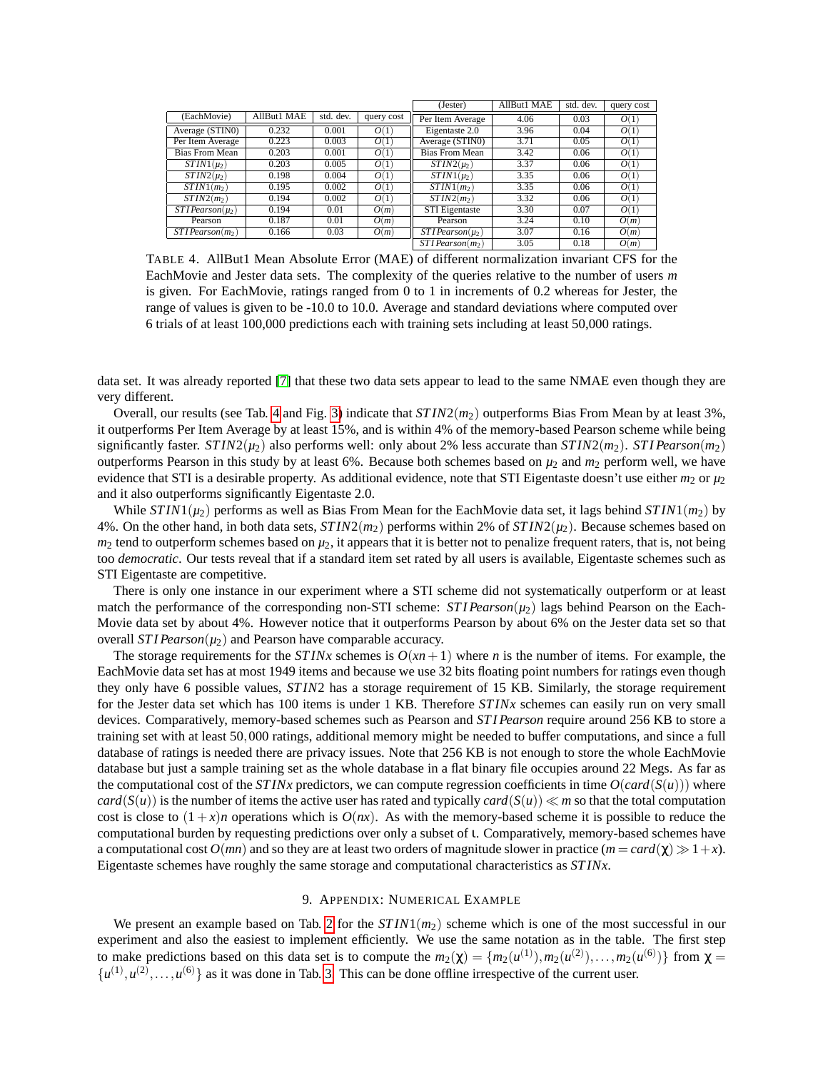|                             |                    |           |            | (Jester)                            | AllBut1 MAE | std. dev. | query cost        |
|-----------------------------|--------------------|-----------|------------|-------------------------------------|-------------|-----------|-------------------|
| (EachMovie)                 | AllBut1 MAE        | std. dev. | query cost | Per Item Average                    | 4.06        | 0.03      | O(1)              |
| Average (STIN0)             | 0.232              | 0.001     | O(1)       | Eigentaste 2.0                      | 3.96        | 0.04      | O(1)              |
| Per Item Average            | 0.223              | 0.003     | O(1)       | Average (STIN0)                     | 3.71        | 0.05      | O(1)              |
| Bias From Mean              | 0.203              | 0.001     | O(1)       | <b>Bias From Mean</b>               | 3.42        | 0.06      | O(1)              |
| $STIN1(\mu_2)$              | 0.203              | 0.005     | O(1)       | $STIN2(\mu_2)$                      | 3.37        | 0.06      | O(1)              |
| $STIN2(\mu_2)$              | 0.198              | 0.004     | O(1)       | $STIN1(\mu_2)$                      | 3.35        | 0.06      | O(1)              |
| STIN1(m <sub>2</sub> )      | 0.195              | 0.002     | O(1)       | STIN1(m <sub>2</sub> )              | 3.35        | 0.06      | O(1)              |
| $STIN2(m_2)$                | $\overline{0.194}$ | 0.002     | O(1)       | $STIN2(m_2)$                        | 3.32        | 0.06      | $\overline{O}(1)$ |
| $STIPearson(\mu_2)$         | 0.194              | 0.01      | O(m)       | <b>STI</b> Eigentaste               | 3.30        | 0.07      | O(1)              |
| Pearson                     | 0.187              | 0.01      | O(m)       | Pearson                             | 3.24        | 0.10      | O(m)              |
| STIPearson(m <sub>2</sub> ) | 0.166              | 0.03      | O(m)       | $\overline{STI}$ Pearson( $\mu_2$ ) | 3.07        | 0.16      | O(m)              |
|                             |                    |           |            | STIPearson(m <sub>2</sub> )         | 3.05        | 0.18      | O(m)              |

<span id="page-11-0"></span>TABLE 4. AllBut1 Mean Absolute Error (MAE) of different normalization invariant CFS for the EachMovie and Jester data sets. The complexity of the queries relative to the number of users *m* is given. For EachMovie, ratings ranged from 0 to 1 in increments of 0.2 whereas for Jester, the range of values is given to be -10.0 to 10.0. Average and standard deviations where computed over 6 trials of at least 100,000 predictions each with training sets including at least 50,000 ratings.

data set. It was already reported [\[7\]](#page-13-7) that these two data sets appear to lead to the same NMAE even though they are very different.

Overall, our results (see Tab. [4](#page-11-0) and Fig. [3\)](#page-12-0) indicate that *ST IN*2(*m*2) outperforms Bias From Mean by at least 3%, it outperforms Per Item Average by at least 15%, and is within 4% of the memory-based Pearson scheme while being significantly faster.  $STIN2(\mu_2)$  also performs well: only about 2% less accurate than  $STIN2(m_2)$ .  $STIPearson(m_2)$ outperforms Pearson in this study by at least 6%. Because both schemes based on  $\mu_2$  and  $m_2$  perform well, we have evidence that STI is a desirable property. As additional evidence, note that STI Eigentaste doesn't use either  $m_2$  or  $\mu_2$ and it also outperforms significantly Eigentaste 2.0.

While *ST IN*1(*µ*2) performs as well as Bias From Mean for the EachMovie data set, it lags behind *ST IN*1(*m*2) by 4%. On the other hand, in both data sets, *ST IN*2(*m*2) performs within 2% of *ST IN*2(*µ*2). Because schemes based on  $m_2$  tend to outperform schemes based on  $\mu_2$ , it appears that it is better not to penalize frequent raters, that is, not being too *democratic*. Our tests reveal that if a standard item set rated by all users is available, Eigentaste schemes such as STI Eigentaste are competitive.

There is only one instance in our experiment where a STI scheme did not systematically outperform or at least match the performance of the corresponding non-STI scheme:  $STI Pearson(\mu_2)$  lags behind Pearson on the Each-Movie data set by about 4%. However notice that it outperforms Pearson by about 6% on the Jester data set so that overall *STI Pearson*( $\mu_2$ ) and Pearson have comparable accuracy.

The storage requirements for the *ST INx* schemes is  $O(xn+1)$  where *n* is the number of items. For example, the EachMovie data set has at most 1949 items and because we use 32 bits floating point numbers for ratings even though they only have 6 possible values, *ST IN*2 has a storage requirement of 15 KB. Similarly, the storage requirement for the Jester data set which has 100 items is under 1 KB. Therefore *ST INx* schemes can easily run on very small devices. Comparatively, memory-based schemes such as Pearson and *ST I Pearson* require around 256 KB to store a training set with at least 50,000 ratings, additional memory might be needed to buffer computations, and since a full database of ratings is needed there are privacy issues. Note that 256 KB is not enough to store the whole EachMovie database but just a sample training set as the whole database in a flat binary file occupies around 22 Megs. As far as the computational cost of the *ST INx* predictors, we can compute regression coefficients in time  $O(card(S(u)))$  where  $card(S(u))$  is the number of items the active user has rated and typically  $card(S(u)) \ll m$  so that the total computation cost is close to  $(1+x)n$  operations which is  $O(nx)$ . As with the memory-based scheme it is possible to reduce the computational burden by requesting predictions over only a subset of ι. Comparatively, memory-based schemes have a computational cost  $O(mn)$  and so they are at least two orders of magnitude slower in practice  $(m = card(\chi) \gg 1+x)$ . Eigentaste schemes have roughly the same storage and computational characteristics as *ST INx*.

### 9. APPENDIX: NUMERICAL EXAMPLE

We present an example based on Tab. [2](#page-5-0) for the  $STIN1(m<sub>2</sub>)$  scheme which is one of the most successful in our experiment and also the easiest to implement efficiently. We use the same notation as in the table. The first step to make predictions based on this data set is to compute the  $m_2(\chi) = \{m_2(u^{(1)}), m_2(u^{(2)}), \ldots, m_2(u^{(6)})\}$  from  $\chi =$  $\{u^{(1)}, u^{(2)}, \ldots, u^{(6)}\}$  as it was done in Tab. [3.](#page-6-0) This can be done offline irrespective of the current user.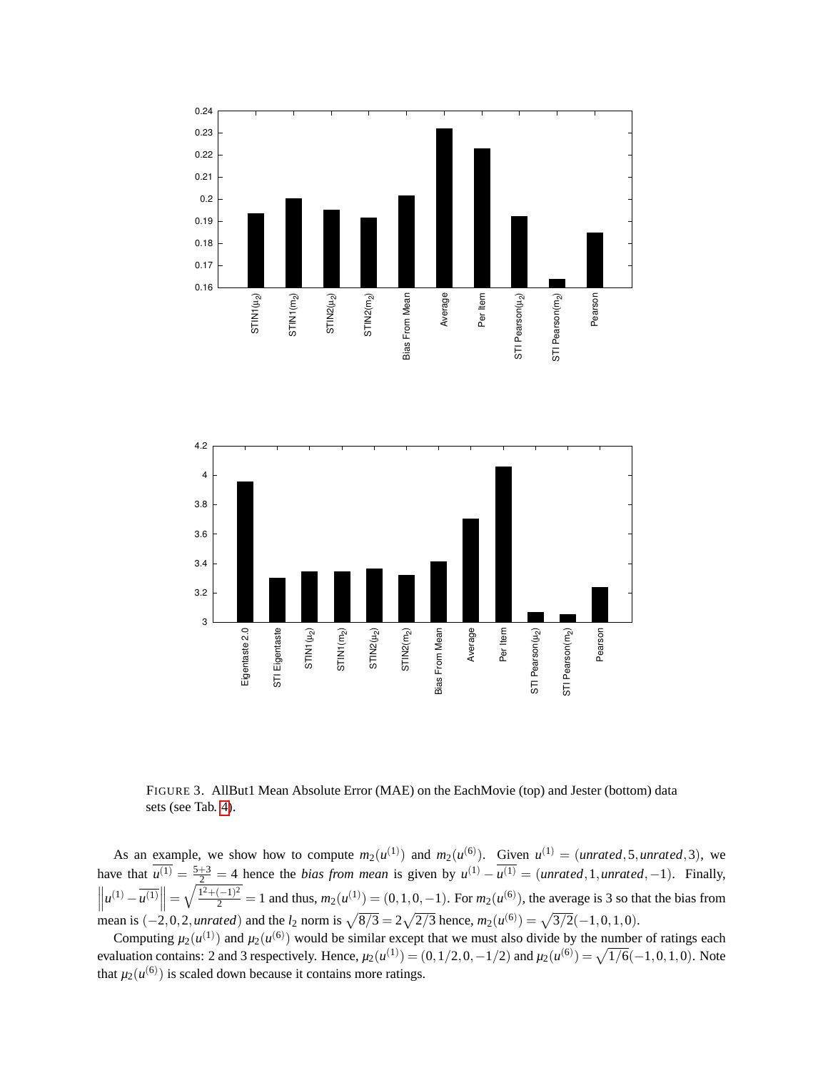

<span id="page-12-0"></span>FIGURE 3. AllBut1 Mean Absolute Error (MAE) on the EachMovie (top) and Jester (bottom) data sets (see Tab. [4\)](#page-11-0).

As an example, we show how to compute  $m_2(u^{(1)})$  and  $m_2(u^{(6)})$ . Given  $u^{(1)} = (unrated, 5, unrated, 3)$ , we have that  $\overline{u^{(1)}} = \frac{5+3}{2} = 4$  hence the *bias from mean* is given by  $u^{(1)} - \overline{u^{(1)}} = (unrated, 1, unrated, -1)$ . Finally,  $\left\| u^{(1)} - \overline{u^{(1)}} \right\| = \sqrt{\frac{1^2 + (-1)^2}{2}} = 1$  and thus,  $m_2(u^{(1)}) = (0, 1, 0, -1)$ . For  $m_2(u^{(6)})$ , the average is 3 so that the bias from mean is  $(-2,0,2,unrated)$  and the  $l_2$  norm is  $\sqrt{8/3} = 2\sqrt{2/3}$  hence,  $m_2(u^{(6)}) = \sqrt{3/2}(-1,0,1,0)$ .

Computing  $\mu_2(u^{(1)})$  and  $\mu_2(u^{(6)})$  would be similar except that we must also divide by the number of ratings each evaluation contains: 2 and 3 respectively. Hence,  $\mu_2(u^{(1)}) = (0, 1/2, 0, -1/2)$  and  $\mu_2(u^{(6)}) = \sqrt{1/6}(-1, 0, 1, 0)$ . Note that  $\mu_2(u^{(6)})$  is scaled down because it contains more ratings.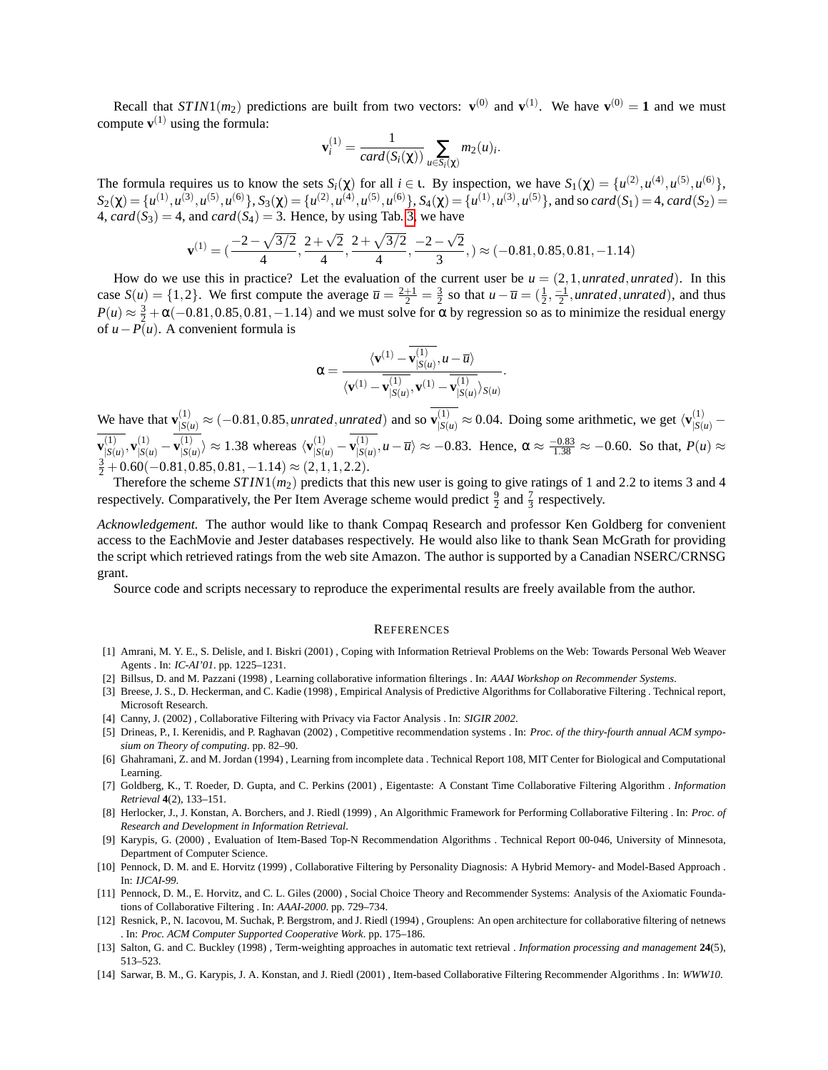Recall that  $STIN1(m_2)$  predictions are built from two vectors:  $\mathbf{v}^{(0)}$  and  $\mathbf{v}^{(1)}$ . We have  $\mathbf{v}^{(0)} = \mathbf{1}$  and we must compute  $\mathbf{v}^{(1)}$  using the formula:

$$
\mathbf{v}_i^{(1)} = \frac{1}{card(S_i(\chi))} \sum_{u \in S_i(\chi)} m_2(u)_i.
$$

The formula requires us to know the sets  $S_i(\chi)$  for all  $i \in \iota$ . By inspection, we have  $S_1(\chi) = \{u^{(2)}, u^{(4)}, u^{(5)}, u^{(6)}\}$ ,  $S_2(\chi) = \{u^{(1)}, u^{(3)}, u^{(5)}, u^{(6)}\}, S_3(\chi) = \{u^{(2)}, u^{(4)}, u^{(5)}, u^{(6)}\}, S_4(\chi) = \{u^{(1)}, u^{(3)}, u^{(5)}\}, \text{ and so } card(S_1) = 4, card(S_2) = 4, s, s, s, s, s, t, s, t, s, t, s, s, s, s, s, t, s, s, t, s, t, s, s, s, t, s, s, s, t, s, s, t, s, s, t, s, s, t, s, s, t, s, t, s, s, t, s, s, t, s, t, s, t, s,$  $4, \text{card}(S_3) = 4$ , and  $\text{card}(S_4) = 3$ . Hence, by using Tab. [3,](#page-6-0) we have

$$
\mathbf{v}^{(1)} = (\frac{-2 - \sqrt{3/2}}{4}, \frac{2 + \sqrt{2}}{4}, \frac{2 + \sqrt{3/2}}{4}, \frac{-2 - \sqrt{2}}{3}, ) \approx (-0.81, 0.85, 0.81, -1.14)
$$

How do we use this in practice? Let the evaluation of the current user be  $u = (2,1,unrated,unrated)$ . In this case  $S(u) = \{1, 2\}$ . We first compute the average  $\overline{u} = \frac{2+1}{2} = \frac{3}{2}$  so that  $u - \overline{u} = (\frac{1}{2}, \frac{-1}{2}, unrated, unrated)$ , and thus  $P(u) \approx \frac{3}{2} + \alpha(-0.81, 0.85, 0.81, -1.14)$  and we must solve for  $\alpha$  by regression so as to minimize the residual energy of *u*−*P*(*u*). A convenient formula is

$$
\alpha = \frac{\langle \mathbf{v}^{(1)} - \overline{\mathbf{v}}_{|S(u)}^{(1)}, u - \overline{u} \rangle}{\langle \mathbf{v}^{(1)} - \overline{\mathbf{v}}_{|S(u)}^{(1)}, \mathbf{v}^{(1)} - \overline{\mathbf{v}}_{|S(u)}^{(1)} \rangle_{S(u)}}.
$$

We have that  $\mathbf{v}_{|S(u)}^{(1)} \approx (-0.81, 0.85, unrated, unrated)$  and so  $\mathbf{v}_{|S(u)}^{(1)} \approx 0.04$ . Doing some arithmetic, we get  $\langle \mathbf{v}_{|S(u)}^{(1)} - \mathbf{v}_{|S(u)}^{(1)} \rangle$  $\mathbf{v}_{\perp}^{(1)}$  $\mathbf{v}_{|S(u)}^{(1)}, \mathbf{v}_{|S(u)}^{(1)} - \mathbf{v}_{|S(v)}^{(1)}$  $|\mathcal{S}(u)\rangle \approx 1.38$  whereas  $\langle \mathbf{v}_{|S(u)}^{(1)} - \mathbf{v}_{|S(i)}^{(1)} \rangle$  $\frac{|(1)|}{|S(u)|}$ , *u* −  $\overline{u}$   $\rangle \approx -0.83$ . Hence,  $\alpha \approx \frac{-0.83}{1.38} \approx -0.60$ . So that,  $P(u) \approx$  $\frac{3}{2} + 0.60(-0.81, 0.85, 0.81, -1.14) \approx (2, 1, 1, 2.2).$ 

Therefore the scheme *ST IN*1(*m*2) predicts that this new user is going to give ratings of 1 and 2.2 to items 3 and 4 respectively. Comparatively, the Per Item Average scheme would predict  $\frac{9}{2}$  and  $\frac{7}{3}$  respectively.

*Acknowledgement.* The author would like to thank Compaq Research and professor Ken Goldberg for convenient access to the EachMovie and Jester databases respectively. He would also like to thank Sean McGrath for providing the script which retrieved ratings from the web site Amazon. The author is supported by a Canadian NSERC/CRNSG grant.

Source code and scripts necessary to reproduce the experimental results are freely available from the author.

## **REFERENCES**

- <span id="page-13-0"></span>[1] Amrani, M. Y. E., S. Delisle, and I. Biskri (2001) , Coping with Information Retrieval Problems on the Web: Towards Personal Web Weaver Agents . In: *IC-AI'01*. pp. 1225–1231.
- <span id="page-13-10"></span>[2] Billsus, D. and M. Pazzani (1998) , Learning collaborative information filterings . In: *AAAI Workshop on Recommender Systems*.
- <span id="page-13-3"></span>[3] Breese, J. S., D. Heckerman, and C. Kadie (1998) , Empirical Analysis of Predictive Algorithms for Collaborative Filtering . Technical report, Microsoft Research.
- <span id="page-13-6"></span>[4] Canny, J. (2002) , Collaborative Filtering with Privacy via Factor Analysis . In: *SIGIR 2002*.
- <span id="page-13-8"></span>[5] Drineas, P., I. Kerenidis, and P. Raghavan (2002) , Competitive recommendation systems . In: *Proc. of the thiry-fourth annual ACM symposium on Theory of computing*. pp. 82–90.
- <span id="page-13-2"></span>[6] Ghahramani, Z. and M. Jordan (1994) , Learning from incomplete data . Technical Report 108, MIT Center for Biological and Computational Learning.
- <span id="page-13-7"></span>[7] Goldberg, K., T. Roeder, D. Gupta, and C. Perkins (2001) , Eigentaste: A Constant Time Collaborative Filtering Algorithm . *Information Retrieval* **4**(2), 133–151.
- <span id="page-13-11"></span>[8] Herlocker, J., J. Konstan, A. Borchers, and J. Riedl (1999) , An Algorithmic Framework for Performing Collaborative Filtering . In: *Proc. of Research and Development in Information Retrieval*.
- <span id="page-13-13"></span>[9] Karypis, G. (2000) , Evaluation of Item-Based Top-N Recommendation Algorithms . Technical Report 00-046, University of Minnesota, Department of Computer Science.
- <span id="page-13-5"></span>[10] Pennock, D. M. and E. Horvitz (1999), Collaborative Filtering by Personality Diagnosis: A Hybrid Memory- and Model-Based Approach. In: *IJCAI-99*.
- <span id="page-13-12"></span>[11] Pennock, D. M., E. Horvitz, and C. L. Giles (2000) , Social Choice Theory and Recommender Systems: Analysis of the Axiomatic Foundations of Collaborative Filtering . In: *AAAI-2000*. pp. 729–734.
- <span id="page-13-4"></span>[12] Resnick, P., N. Iacovou, M. Suchak, P. Bergstrom, and J. Riedl (1994) , Grouplens: An open architecture for collaborative filtering of netnews . In: *Proc. ACM Computer Supported Cooperative Work*. pp. 175–186.
- <span id="page-13-1"></span>[13] Salton, G. and C. Buckley (1998) , Term-weighting approaches in automatic text retrieval . *Information processing and management* **24**(5), 513–523.
- <span id="page-13-9"></span>[14] Sarwar, B. M., G. Karypis, J. A. Konstan, and J. Riedl (2001) , Item-based Collaborative Filtering Recommender Algorithms . In: *WWW10*.